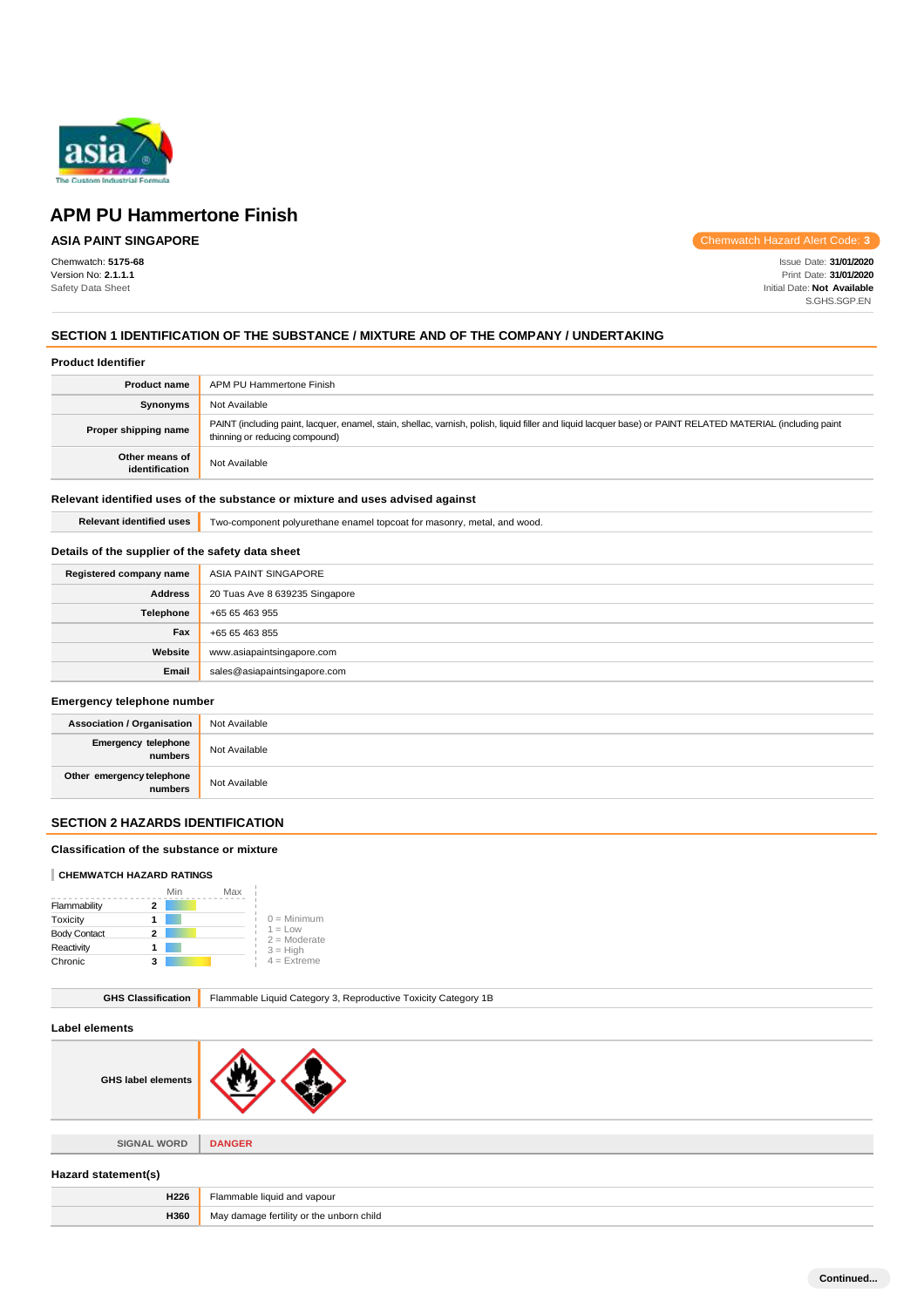

# **ASIA PAINT SINGAPORE**

Chemwatch: **5175-68** Version No: **2.1.1.1** Safety Data Sheet

Chemwatch Hazard Alert Code: **3**

Issue Date: **31/01/2020** Print Date: **31/01/2020** Initial Date: **Not Available** S.GHS.SGP.EN

# **SECTION 1 IDENTIFICATION OF THE SUBSTANCE / MIXTURE AND OF THE COMPANY / UNDERTAKING**

#### **Product Identifier**

| <b>Product name</b>              | APM PU Hammertone Finish                                                                                                                                                                      |
|----------------------------------|-----------------------------------------------------------------------------------------------------------------------------------------------------------------------------------------------|
| <b>Synonyms</b>                  | Not Available                                                                                                                                                                                 |
| Proper shipping name             | PAINT (including paint, lacquer, enamel, stain, shellac, varnish, polish, liquid filler and liquid lacquer base) or PAINT RELATED MATERIAL (including paint<br>thinning or reducing compound) |
| Other means of<br>identification | Not Available                                                                                                                                                                                 |

### **Relevant identified uses of the substance or mixture and uses advised against**

**Relevant identified uses** Two-component polyurethane enamel topcoat for masonry, metal, and wood.

# **Details of the supplier of the safety data sheet**

| Registered company name | ASIA PAINT SINGAPORE           |
|-------------------------|--------------------------------|
| <b>Address</b>          | 20 Tuas Ave 8 639235 Singapore |
| Telephone               | +65 65 463 955                 |
| Fax                     | +65 65 463 855                 |
| Website                 | www.asiapaintsingapore.com     |
| Email                   | sales@asiapaintsingapore.com   |

#### **Emergency telephone number**

| <b>Association / Organisation</b>    | Not Available |
|--------------------------------------|---------------|
| Emergency telephone<br>numbers       | Not Available |
| Other emergency telephone<br>numbers | Not Available |

# **SECTION 2 HAZARDS IDENTIFICATION**

# **Classification of the substance or mixture**

### **CHEMWATCH HAZARD RATINGS**

|                     | Min | Max |                             |
|---------------------|-----|-----|-----------------------------|
| Flammability        | 2   |     |                             |
| Toxicity            |     |     | $0 =$ Minimum               |
| <b>Body Contact</b> | 2   |     | $1 = Low$<br>$2 =$ Moderate |
| Reactivity          |     |     | $3 = High$                  |
| Chronic             | з   |     | $4$ = Extreme               |

| <b>GHS Classification</b> | Flammable Liquid Category 3, Reproductive Toxicity Category 1B |  |
|---------------------------|----------------------------------------------------------------|--|
| Label elements            |                                                                |  |
| <b>GHS label elements</b> |                                                                |  |
|                           |                                                                |  |
| <b>SIGNAL WORD</b>        | <b>DANGER</b>                                                  |  |
| Hazard statement(s)       |                                                                |  |
| H226                      | Flammable liquid and vapour                                    |  |
| H360                      | May damage fertility or the unborn child                       |  |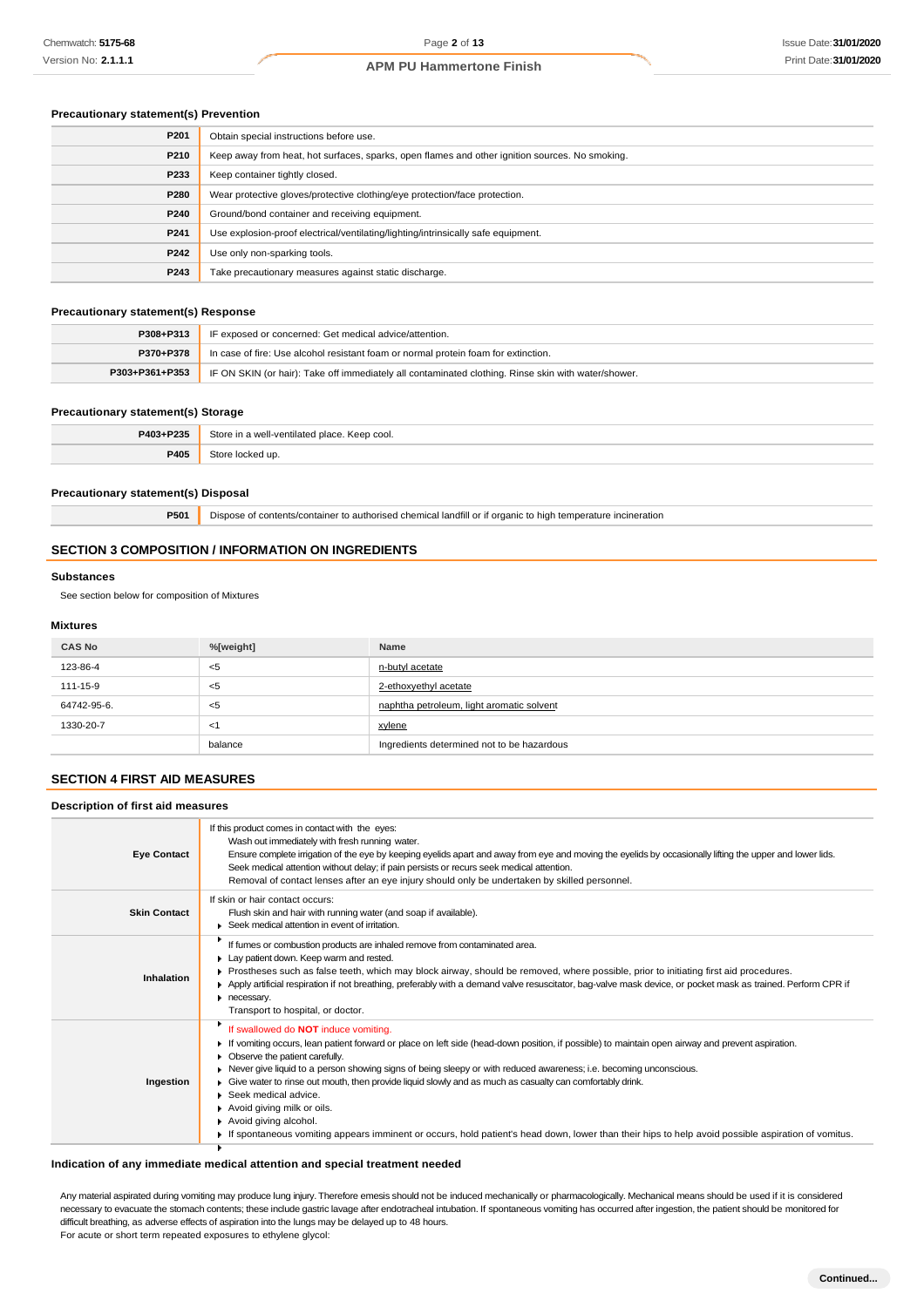### **Precautionary statement(s) Prevention**

| P201 | Obtain special instructions before use.                                                        |
|------|------------------------------------------------------------------------------------------------|
| P210 | Keep away from heat, hot surfaces, sparks, open flames and other ignition sources. No smoking. |
| P233 | Keep container tightly closed.                                                                 |
| P280 | Wear protective gloves/protective clothing/eye protection/face protection.                     |
| P240 | Ground/bond container and receiving equipment.                                                 |
| P241 | Use explosion-proof electrical/ventilating/lighting/intrinsically safe equipment.              |
| P242 | Use only non-sparking tools.                                                                   |
| P243 | Take precautionary measures against static discharge.                                          |

### **Precautionary statement(s) Response**

| P308+P313      | IF exposed or concerned: Get medical advice/attention.                                              |
|----------------|-----------------------------------------------------------------------------------------------------|
| P370+P378      | In case of fire: Use alcohol resistant foam or normal protein foam for extinction.                  |
| P303+P361+P353 | IF ON SKIN (or hair): Take off immediately all contaminated clothing. Rinse skin with water/shower. |

#### **Precautionary statement(s) Storage**

| P403+P235 | Store in a well-ventilated place. Keep cool. |
|-----------|----------------------------------------------|
| P405      | Store locked up.                             |

#### **Precautionary statement(s) Disposal**

**P501** Dispose of contents/container to authorised chemical landfill or if organic to high temperature incineration

### **SECTION 3 COMPOSITION / INFORMATION ON INGREDIENTS**

#### **Substances**

See section below for composition of Mixtures

#### **Mixtures**

| <b>CAS No</b> | %[weight] | Name                                       |
|---------------|-----------|--------------------------------------------|
| 123-86-4      | <5        | n-butyl acetate                            |
| 111-15-9      | <5        | 2-ethoxyethyl acetate                      |
| 64742-95-6.   | <5        | naphtha petroleum, light aromatic solvent  |
| 1330-20-7     | - < 1     | xylene                                     |
|               | balance   | Ingredients determined not to be hazardous |

# **SECTION 4 FIRST AID MEASURES**

# **Description of first aid measures**

| <b>Eye Contact</b>  | If this product comes in contact with the eyes:<br>Wash out immediately with fresh running water.<br>Ensure complete irrigation of the eye by keeping eyelids apart and away from eye and moving the eyelids by occasionally lifting the upper and lower lids.<br>Seek medical attention without delay; if pain persists or recurs seek medical attention.<br>Removal of contact lenses after an eye injury should only be undertaken by skilled personnel.                                                                                                                                                                                                                                                      |
|---------------------|------------------------------------------------------------------------------------------------------------------------------------------------------------------------------------------------------------------------------------------------------------------------------------------------------------------------------------------------------------------------------------------------------------------------------------------------------------------------------------------------------------------------------------------------------------------------------------------------------------------------------------------------------------------------------------------------------------------|
| <b>Skin Contact</b> | If skin or hair contact occurs:<br>Flush skin and hair with running water (and soap if available).<br>▶ Seek medical attention in event of irritation.                                                                                                                                                                                                                                                                                                                                                                                                                                                                                                                                                           |
| Inhalation          | If fumes or combustion products are inhaled remove from contaminated area.<br>Lay patient down. Keep warm and rested.<br>Prostheses such as false teeth, which may block airway, should be removed, where possible, prior to initiating first aid procedures.<br>▶ Apply artificial respiration if not breathing, preferably with a demand valve resuscitator, bag-valve mask device, or pocket mask as trained. Perform CPR if<br>necessary.<br>Transport to hospital, or doctor.                                                                                                                                                                                                                               |
| Ingestion           | If swallowed do NOT induce vomiting.<br>If vomiting occurs, lean patient forward or place on left side (head-down position, if possible) to maintain open airway and prevent aspiration.<br>Observe the patient carefully.<br>Never give liquid to a person showing signs of being sleepy or with reduced awareness; i.e. becoming unconscious.<br>Give water to rinse out mouth, then provide liquid slowly and as much as casualty can comfortably drink.<br>$\triangleright$ Seek medical advice.<br>Avoid giving milk or oils.<br>Avoid giving alcohol.<br>If spontaneous vomiting appears imminent or occurs, hold patient's head down, lower than their hips to help avoid possible aspiration of vomitus. |

### **Indication of any immediate medical attention and special treatment needed**

Any material aspirated during vomiting may produce lung injury. Therefore emesis should not be induced mechanically or pharmacologically. Mechanical means should be used if it is considered necessary to evacuate the stomach contents; these include gastric lavage after endotracheal intubation. If spontaneous vomiting has occurred after ingestion, the patient should be monitored for difficult breathing, as adverse effects of aspiration into the lungs may be delayed up to 48 hours. For acute or short term repeated exposures to ethylene glycol:

**Continued...**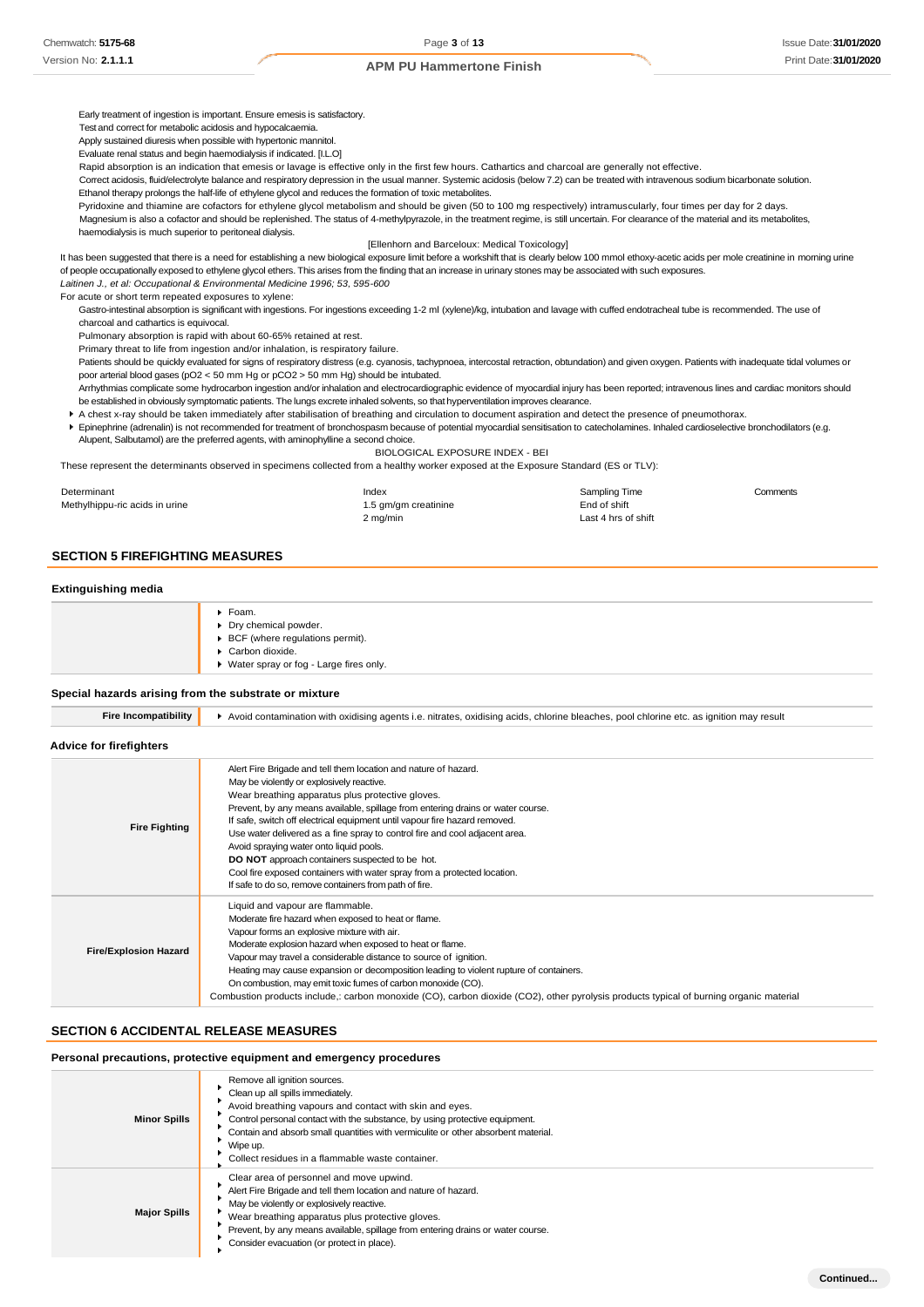**Continued...**

### **APM PU Hammertone Finish**

Early treatment of ingestion is important. Ensure emesis is satisfactory.

Test and correct for metabolic acidosis and hypocalcaemia.

Apply sustained diuresis when possible with hypertonic mannitol.

Evaluate renal status and begin haemodialysis if indicated. [I.L.O]

Rapid absorption is an indication that emesis or lavage is effective only in the first few hours. Cathartics and charcoal are generally not effective.

Correct acidosis, fluid/electrolyte balance and respiratory depression in the usual manner. Systemic acidosis (below 7.2) can be treated with intravenous sodium bicarbonate solution. Ethanol therapy prolongs the half-life of ethylene glycol and reduces the formation of toxic metabolites.

Pyridoxine and thiamine are cofactors for ethylene glycol metabolism and should be given (50 to 100 mg respectively) intramuscularly, four times per day for 2 days.

Magnesium is also a cofactor and should be replenished. The status of 4-methylpyrazole, in the treatment regime, is still uncertain. For clearance of the material and its metabolites, haemodialysis is much superior to peritoneal dialysis.

#### [Ellenhorn and Barceloux: Medical Toxicology]

It has been suggested that there is a need for establishing a new biological exposure limit before a workshift that is clearly below 100 mmol ethoxy-acetic acids per mole creatinine in morning urine of people occupationally exposed to ethylene glycol ethers. This arises from the finding that an increase in urinary stones may be associated with such exposures.

*Laitinen J., et al: Occupational & Environmental Medicine 1996; 53, 595-600*

For acute or short term repeated exposures to xylene:

Gastro-intestinal absorption is significant with ingestions. For ingestions exceeding 1-2 ml (xylene)/kg, intubation and lavage with cuffed endotracheal tube is recommended. The use of charcoal and cathartics is equivocal.

Pulmonary absorption is rapid with about 60-65% retained at rest.

Primary threat to life from ingestion and/or inhalation, is respiratory failure.

Patients should be quickly evaluated for signs of respiratory distress (e.g. cyanosis, tachypnoea, intercostal retraction, obtundation) and given oxygen. Patients with inadequate tidal volumes or poor arterial blood gases (pO2 < 50 mm Hg or pCO2 > 50 mm Hg) should be intubated.

Arrhythmias complicate some hydrocarbon ingestion and/or inhalation and electrocardiographic evidence of myocardial injury has been reported; intravenous lines and cardiac monitors should be established in obviously symptomatic patients. The lungs excrete inhaled solvents, so that hyperventilation improves clearance.

A chest x-ray should be taken immediately after stabilisation of breathing and circulation to document aspiration and detect the presence of pneumothorax.

Epinephrine (adrenalin) is not recommended for treatment of bronchospasm because of potential myocardial sensitisation to catecholamines. Inhaled cardioselective bronchodilators (e.g. Alupent, Salbutamol) are the preferred agents, with aminophylline a second choice.

BIOLOGICAL EXPOSURE INDEX - BEI

These represent the determinants observed in specimens collected from a healthy worker exposed at the Exposure Standard (ES or TLV):

| Determinant                    | Index                | Sampling Time       | Comments |
|--------------------------------|----------------------|---------------------|----------|
| Methylhippu-ric acids in urine | 1.5 gm/gm creatinine | End of shift        |          |
|                                | 2 mg/min             | Last 4 hrs of shift |          |

# **SECTION 5 FIREFIGHTING MEASURES**

#### **Extinguishing media**

| $\triangleright$ Foam.                   |
|------------------------------------------|
| Dry chemical powder.                     |
| ▶ BCF (where regulations permit).        |
| Carbon dioxide.                          |
| ▶ Water spray or fog - Large fires only. |
|                                          |

#### **Special hazards arising from the substrate or mixture**

| Fire Incompatibility |  |
|----------------------|--|

**Fire Incompatibility**  $\rightarrow$  Avoid contamination with oxidising agents i.e. nitrates, oxidising acids, chlorine bleaches, pool chlorine etc. as ignition may result

#### **Advice for firefighters**

| <b>Fire Fighting</b>         | Alert Fire Brigade and tell them location and nature of hazard.<br>May be violently or explosively reactive.<br>Wear breathing apparatus plus protective gloves.<br>Prevent, by any means available, spillage from entering drains or water course.<br>If safe, switch off electrical equipment until vapour fire hazard removed.<br>Use water delivered as a fine spray to control fire and cool adjacent area.<br>Avoid spraying water onto liquid pools.<br><b>DO NOT</b> approach containers suspected to be hot.<br>Cool fire exposed containers with water spray from a protected location.<br>If safe to do so, remove containers from path of fire. |
|------------------------------|-------------------------------------------------------------------------------------------------------------------------------------------------------------------------------------------------------------------------------------------------------------------------------------------------------------------------------------------------------------------------------------------------------------------------------------------------------------------------------------------------------------------------------------------------------------------------------------------------------------------------------------------------------------|
| <b>Fire/Explosion Hazard</b> | Liquid and vapour are flammable.<br>Moderate fire hazard when exposed to heat or flame.<br>Vapour forms an explosive mixture with air.<br>Moderate explosion hazard when exposed to heat or flame.<br>Vapour may travel a considerable distance to source of ignition.<br>Heating may cause expansion or decomposition leading to violent rupture of containers.<br>On combustion, may emit toxic fumes of carbon monoxide (CO).<br>Combustion products include,: carbon monoxide (CO), carbon dioxide (CO2), other pyrolysis products typical of burning organic material                                                                                  |

# **SECTION 6 ACCIDENTAL RELEASE MEASURES**

### **Personal precautions, protective equipment and emergency procedures**

| <b>Minor Spills</b> | Remove all ignition sources.<br>Clean up all spills immediately.<br>Avoid breathing vapours and contact with skin and eyes.<br>Control personal contact with the substance, by using protective equipment.<br>Contain and absorb small quantities with vermiculite or other absorbent material.<br>Wipe up.<br>Collect residues in a flammable waste container. |
|---------------------|-----------------------------------------------------------------------------------------------------------------------------------------------------------------------------------------------------------------------------------------------------------------------------------------------------------------------------------------------------------------|
| <b>Major Spills</b> | Clear area of personnel and move upwind.<br>Alert Fire Brigade and tell them location and nature of hazard.<br>May be violently or explosively reactive.<br>Wear breathing apparatus plus protective gloves.<br>Prevent, by any means available, spillage from entering drains or water course.<br>Consider evacuation (or protect in place).                   |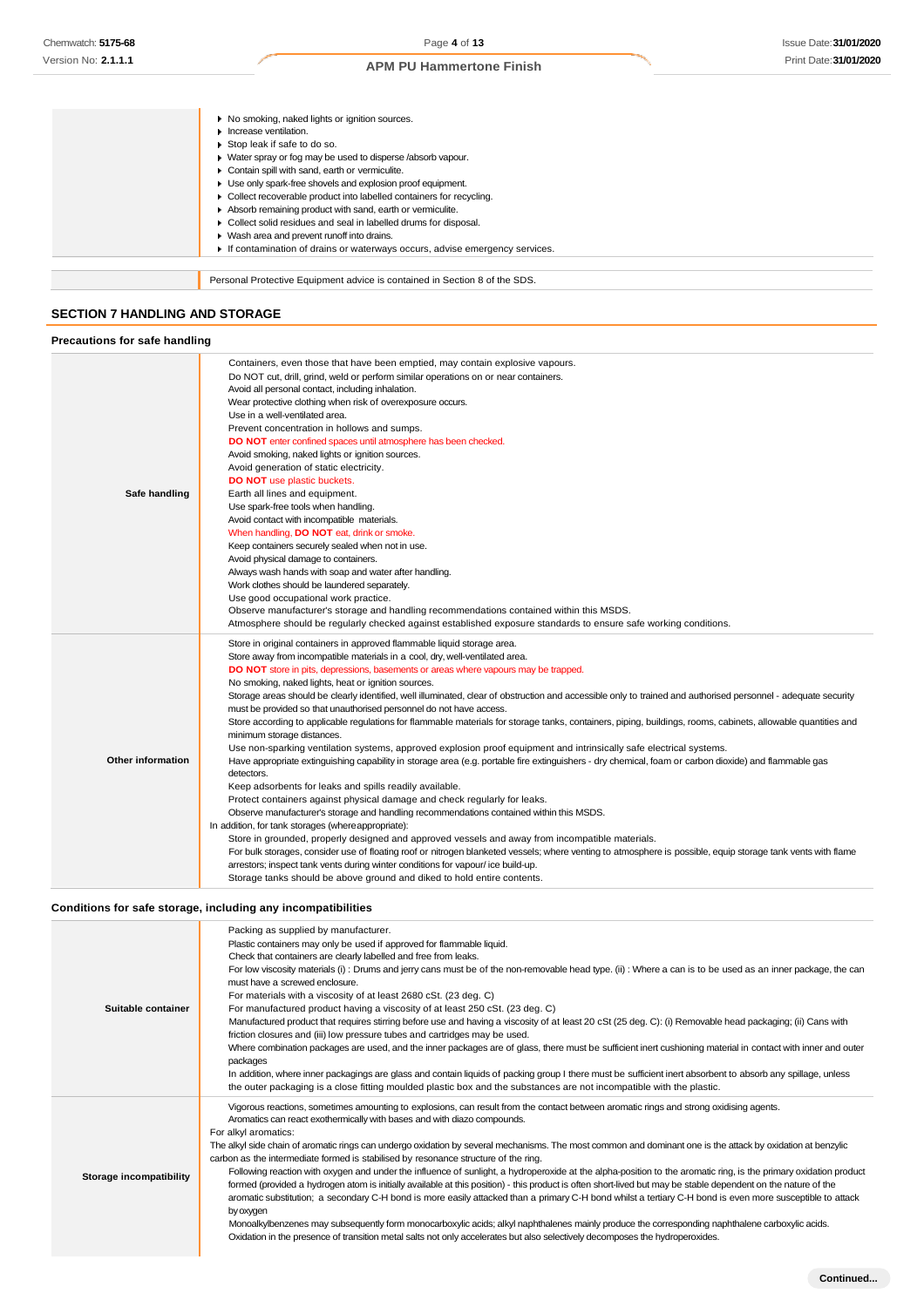|                                       | No smoking, naked lights or ignition sources.                              |  |
|---------------------------------------|----------------------------------------------------------------------------|--|
|                                       | Increase ventilation.                                                      |  |
|                                       | Stop leak if safe to do so.                                                |  |
|                                       | ▶ Water spray or fog may be used to disperse /absorb vapour.               |  |
|                                       | Contain spill with sand, earth or vermiculite.                             |  |
|                                       | Use only spark-free shovels and explosion proof equipment.                 |  |
|                                       | Collect recoverable product into labelled containers for recycling.        |  |
|                                       | Absorb remaining product with sand, earth or vermiculite.                  |  |
|                                       | Collect solid residues and seal in labelled drums for disposal.            |  |
|                                       | Wash area and prevent runoff into drains.                                  |  |
|                                       | If contamination of drains or waterways occurs, advise emergency services. |  |
|                                       |                                                                            |  |
|                                       | Personal Protective Equipment advice is contained in Section 8 of the SDS. |  |
|                                       |                                                                            |  |
| <b>SECTION 7 HANDLING AND STORAGE</b> |                                                                            |  |
|                                       |                                                                            |  |

| Precautions for safe handling |  |  |
|-------------------------------|--|--|

| Safe handling     | Containers, even those that have been emptied, may contain explosive vapours.<br>Do NOT cut, drill, grind, weld or perform similar operations on or near containers.<br>Avoid all personal contact, including inhalation.<br>Wear protective clothing when risk of overexposure occurs.<br>Use in a well-ventilated area.<br>Prevent concentration in hollows and sumps.<br>DO NOT enter confined spaces until atmosphere has been checked.<br>Avoid smoking, naked lights or ignition sources.<br>Avoid generation of static electricity.<br><b>DO NOT</b> use plastic buckets.<br>Earth all lines and equipment.<br>Use spark-free tools when handling.<br>Avoid contact with incompatible materials.<br>When handling, DO NOT eat, drink or smoke.<br>Keep containers securely sealed when not in use.<br>Avoid physical damage to containers.<br>Always wash hands with soap and water after handling.<br>Work clothes should be laundered separately.<br>Use good occupational work practice.<br>Observe manufacturer's storage and handling recommendations contained within this MSDS.<br>Atmosphere should be regularly checked against established exposure standards to ensure safe working conditions.                                                                                                                                                                                                                                                                                                                                                                                                                                                                                                                                                     |
|-------------------|-----------------------------------------------------------------------------------------------------------------------------------------------------------------------------------------------------------------------------------------------------------------------------------------------------------------------------------------------------------------------------------------------------------------------------------------------------------------------------------------------------------------------------------------------------------------------------------------------------------------------------------------------------------------------------------------------------------------------------------------------------------------------------------------------------------------------------------------------------------------------------------------------------------------------------------------------------------------------------------------------------------------------------------------------------------------------------------------------------------------------------------------------------------------------------------------------------------------------------------------------------------------------------------------------------------------------------------------------------------------------------------------------------------------------------------------------------------------------------------------------------------------------------------------------------------------------------------------------------------------------------------------------------------------------------------------------------------------------------------------------------------------------|
| Other information | Store in original containers in approved flammable liquid storage area.<br>Store away from incompatible materials in a cool, dry, well-ventilated area.<br>DO NOT store in pits, depressions, basements or areas where vapours may be trapped.<br>No smoking, naked lights, heat or ignition sources.<br>Storage areas should be clearly identified, well illuminated, clear of obstruction and accessible only to trained and authorised personnel - adequate security<br>must be provided so that unauthorised personnel do not have access.<br>Store according to applicable regulations for flammable materials for storage tanks, containers, piping, buildings, rooms, cabinets, allowable quantities and<br>minimum storage distances.<br>Use non-sparking ventilation systems, approved explosion proof equipment and intrinsically safe electrical systems.<br>Have appropriate extinguishing capability in storage area (e.g. portable fire extinguishers - dry chemical, foam or carbon dioxide) and flammable gas<br>detectors.<br>Keep adsorbents for leaks and spills readily available.<br>Protect containers against physical damage and check regularly for leaks.<br>Observe manufacturer's storage and handling recommendations contained within this MSDS.<br>In addition, for tank storages (whereappropriate):<br>Store in grounded, properly designed and approved vessels and away from incompatible materials.<br>For bulk storages, consider use of floating roof or nitrogen blanketed vessels; where venting to atmosphere is possible, equip storage tank vents with flame<br>arrestors; inspect tank vents during winter conditions for vapour/ice build-up.<br>Storage tanks should be above ground and diked to hold entire contents. |

# **Conditions for safe storage, including any incompatibilities**

| Suitable container      | Packing as supplied by manufacturer.<br>Plastic containers may only be used if approved for flammable liquid.<br>Check that containers are clearly labelled and free from leaks.<br>For low viscosity materials (i): Drums and jerry cans must be of the non-removable head type. (ii): Where a can is to be used as an inner package, the can<br>must have a screwed enclosure.<br>For materials with a viscosity of at least 2680 cSt. (23 deg. C)<br>For manufactured product having a viscosity of at least 250 cSt. (23 deg. C)<br>Manufactured product that requires stirring before use and having a viscosity of at least 20 cSt (25 deg. C): (i) Removable head packaging; (ii) Cans with<br>friction closures and (iii) low pressure tubes and cartridges may be used.<br>Where combination packages are used, and the inner packages are of glass, there must be sufficient inert cushioning material in contact with inner and outer<br>packages<br>In addition, where inner packagings are glass and contain liquids of packing group I there must be sufficient inert absorbent to absorb any spillage, unless<br>the outer packaging is a close fitting moulded plastic box and the substances are not incompatible with the plastic.                                               |
|-------------------------|----------------------------------------------------------------------------------------------------------------------------------------------------------------------------------------------------------------------------------------------------------------------------------------------------------------------------------------------------------------------------------------------------------------------------------------------------------------------------------------------------------------------------------------------------------------------------------------------------------------------------------------------------------------------------------------------------------------------------------------------------------------------------------------------------------------------------------------------------------------------------------------------------------------------------------------------------------------------------------------------------------------------------------------------------------------------------------------------------------------------------------------------------------------------------------------------------------------------------------------------------------------------------------------------------|
| Storage incompatibility | Vigorous reactions, sometimes amounting to explosions, can result from the contact between aromatic rings and strong oxidising agents.<br>Aromatics can react exothermically with bases and with diazo compounds.<br>For alkyl aromatics:<br>The alkyl side chain of aromatic rings can undergo oxidation by several mechanisms. The most common and dominant one is the attack by oxidation at benzylic<br>carbon as the intermediate formed is stabilised by resonance structure of the ring.<br>Following reaction with oxygen and under the influence of sunlight, a hydroperoxide at the alpha-position to the aromatic ring, is the primary oxidation product<br>formed (provided a hydrogen atom is initially available at this position) - this product is often short-lived but may be stable dependent on the nature of the<br>aromatic substitution; a secondary C-H bond is more easily attacked than a primary C-H bond whilst a tertiary C-H bond is even more susceptible to attack<br>by oxygen<br>Monoalkylbenzenes may subsequently form monocarboxylic acids; alkyl naphthalenes mainly produce the corresponding naphthalene carboxylic acids.<br>Oxidation in the presence of transition metal salts not only accelerates but also selectively decomposes the hydroperoxides. |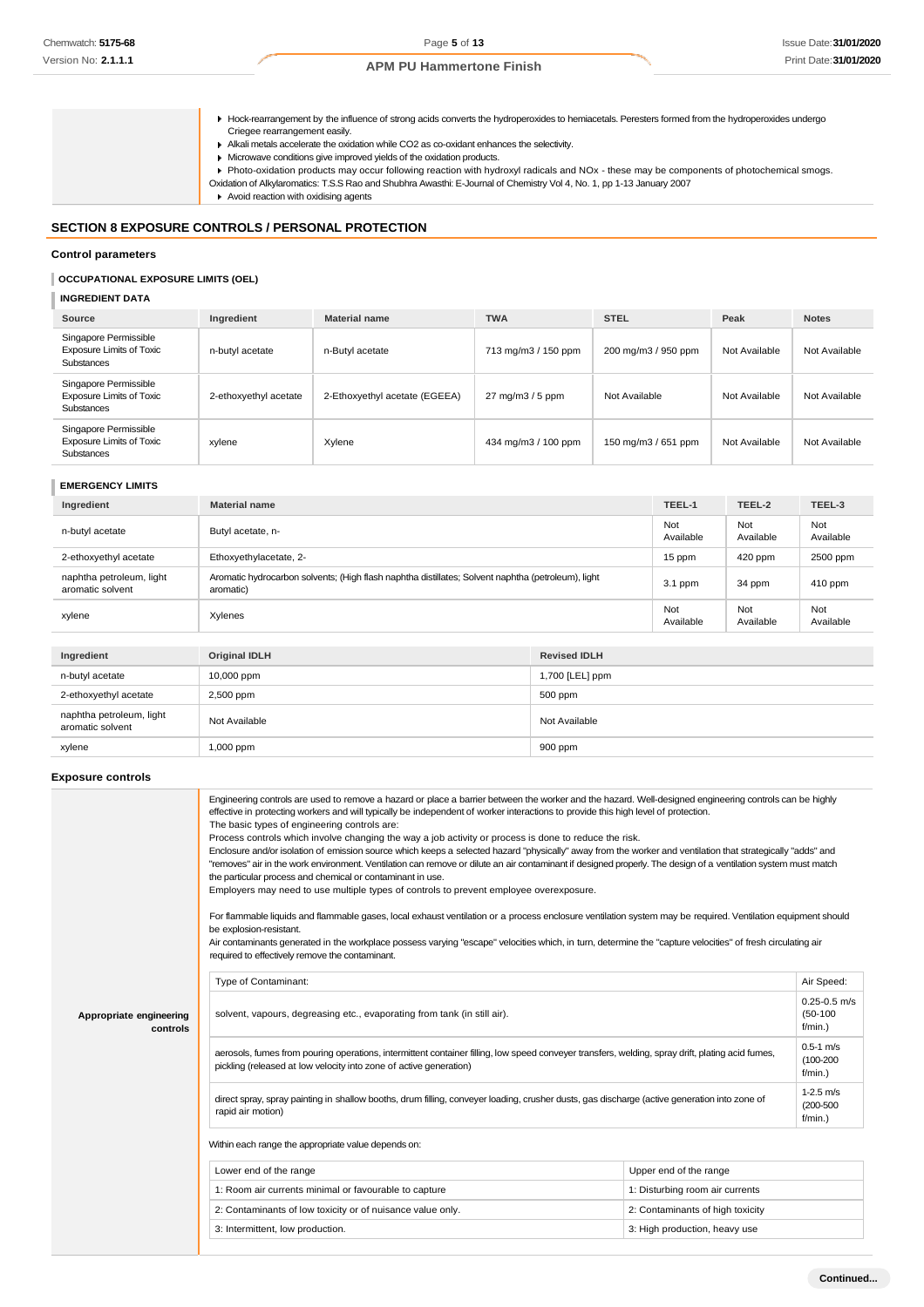Hock-rearrangement by the influence of strong acids converts the hydroperoxides to hemiacetals. Peresters formed from the hydroperoxides undergo Criegee rearrangement easily.

Alkali metals accelerate the oxidation while CO2 as co-oxidant enhances the selectivity.

- Microwave conditions give improved yields of the oxidation products.
- 
- Photo-oxidation products may occur following reaction with hydroxyl radicals and NOx these may be components of photochemical smogs.
- Oxidation of Alkylaromatics: T.S.S Rao and Shubhra Awasthi: E-Journal of Chemistry Vol 4, No. 1, pp 1-13 January 2007
- Avoid reaction with oxidising agents

### **SECTION 8 EXPOSURE CONTROLS / PERSONAL PROTECTION**

#### **Control parameters**

# **OCCUPATIONAL EXPOSURE LIMITS (OEL)**

# **INGREDIENT DATA**

| Source                                                                        | Ingredient            | <b>Material name</b>          | <b>TWA</b>          | <b>STEL</b>         | Peak          | <b>Notes</b>  |
|-------------------------------------------------------------------------------|-----------------------|-------------------------------|---------------------|---------------------|---------------|---------------|
| Singapore Permissible<br><b>Exposure Limits of Toxic</b><br><b>Substances</b> | n-butyl acetate       | n-Butyl acetate               | 713 mg/m3 / 150 ppm | 200 mg/m3 / 950 ppm | Not Available | Not Available |
| Singapore Permissible<br><b>Exposure Limits of Toxic</b><br>Substances        | 2-ethoxyethyl acetate | 2-Ethoxyethyl acetate (EGEEA) | 27 mg/m3 / 5 ppm    | Not Available       | Not Available | Not Available |
| Singapore Permissible<br><b>Exposure Limits of Toxic</b><br>Substances        | xylene                | Xylene                        | 434 mg/m3 / 100 ppm | 150 mg/m3 / 651 ppm | Not Available | Not Available |

# **EMERGENCY LIMITS**

| Ingredient                                   | <b>Material name</b>                                                                                            |          | TEEL-1           | TEEL-2           | TEEL-3           |
|----------------------------------------------|-----------------------------------------------------------------------------------------------------------------|----------|------------------|------------------|------------------|
| n-butyl acetate                              | Butyl acetate, n-                                                                                               |          | Not<br>Available | Not<br>Available | Not<br>Available |
| 2-ethoxyethyl acetate                        | Ethoxyethylacetate, 2-                                                                                          |          | 15 ppm           | 420 ppm          | 2500 ppm         |
| naphtha petroleum, light<br>aromatic solvent | Aromatic hydrocarbon solvents; (High flash naphtha distillates; Solvent naphtha (petroleum), light<br>aromatic) |          | 3.1 ppm          | 34 ppm           | $410$ ppm        |
| xylene                                       | Xylenes                                                                                                         |          | Not<br>Available | Not<br>Available | Not<br>Available |
|                                              |                                                                                                                 |          |                  |                  |                  |
| Ingredient                                   | <b>Original IDLH</b><br><b>Revised IDLH</b>                                                                     |          |                  |                  |                  |
| .                                            | $\sim$ $\sim$ $\sim$ $\sim$                                                                                     | $\cdots$ |                  |                  |                  |

| <sub></sub>                                                   | $-1.91$   | . . <del>.</del> <b>. .</b> |  |
|---------------------------------------------------------------|-----------|-----------------------------|--|
| 10,000 ppm<br>n-butyl acetate                                 |           | 1,700 [LEL] ppm             |  |
| 2-ethoxyethyl acetate<br>2,500 ppm                            |           | 500 ppm                     |  |
| naphtha petroleum, light<br>Not Available<br>aromatic solvent |           | Not Available               |  |
| xylene                                                        | 1,000 ppm | 900 ppm                     |  |
|                                                               |           |                             |  |

## **Exposure controls**

|                                     | Engineering controls are used to remove a hazard or place a barrier between the worker and the hazard. Well-designed engineering controls can be highly<br>effective in protecting workers and will typically be independent of worker interactions to provide this high level of protection.<br>The basic types of engineering controls are:<br>Process controls which involve changing the way a job activity or process is done to reduce the risk.<br>Enclosure and/or isolation of emission source which keeps a selected hazard "physically" away from the worker and ventilation that strategically "adds" and<br>"removes" air in the work environment. Ventilation can remove or dilute an air contaminant if designed properly. The design of a ventilation system must match<br>the particular process and chemical or contaminant in use.<br>Employers may need to use multiple types of controls to prevent employee overexposure.<br>For flammable liquids and flammable gases, local exhaust ventilation or a process enclosure ventilation system may be required. Ventilation equipment should<br>be explosion-resistant.<br>Air contaminants generated in the workplace possess varying "escape" velocities which, in turn, determine the "capture velocities" of fresh circulating air<br>required to effectively remove the contaminant. |                                                                                                                                              |  |  |
|-------------------------------------|--------------------------------------------------------------------------------------------------------------------------------------------------------------------------------------------------------------------------------------------------------------------------------------------------------------------------------------------------------------------------------------------------------------------------------------------------------------------------------------------------------------------------------------------------------------------------------------------------------------------------------------------------------------------------------------------------------------------------------------------------------------------------------------------------------------------------------------------------------------------------------------------------------------------------------------------------------------------------------------------------------------------------------------------------------------------------------------------------------------------------------------------------------------------------------------------------------------------------------------------------------------------------------------------------------------------------------------------------------------|----------------------------------------------------------------------------------------------------------------------------------------------|--|--|
|                                     | Type of Contaminant:                                                                                                                                                                                                                                                                                                                                                                                                                                                                                                                                                                                                                                                                                                                                                                                                                                                                                                                                                                                                                                                                                                                                                                                                                                                                                                                                         |                                                                                                                                              |  |  |
| Appropriate engineering<br>controls | solvent, vapours, degreasing etc., evaporating from tank (in still air).                                                                                                                                                                                                                                                                                                                                                                                                                                                                                                                                                                                                                                                                                                                                                                                                                                                                                                                                                                                                                                                                                                                                                                                                                                                                                     |                                                                                                                                              |  |  |
|                                     | aerosols, fumes from pouring operations, intermittent container filling, low speed conveyer transfers, welding, spray drift, plating acid fumes,<br>pickling (released at low velocity into zone of active generation)                                                                                                                                                                                                                                                                                                                                                                                                                                                                                                                                                                                                                                                                                                                                                                                                                                                                                                                                                                                                                                                                                                                                       |                                                                                                                                              |  |  |
|                                     | rapid air motion)                                                                                                                                                                                                                                                                                                                                                                                                                                                                                                                                                                                                                                                                                                                                                                                                                                                                                                                                                                                                                                                                                                                                                                                                                                                                                                                                            | direct spray, spray painting in shallow booths, drum filling, conveyer loading, crusher dusts, gas discharge (active generation into zone of |  |  |
|                                     | Within each range the appropriate value depends on:                                                                                                                                                                                                                                                                                                                                                                                                                                                                                                                                                                                                                                                                                                                                                                                                                                                                                                                                                                                                                                                                                                                                                                                                                                                                                                          |                                                                                                                                              |  |  |
|                                     | Lower end of the range                                                                                                                                                                                                                                                                                                                                                                                                                                                                                                                                                                                                                                                                                                                                                                                                                                                                                                                                                                                                                                                                                                                                                                                                                                                                                                                                       | Upper end of the range                                                                                                                       |  |  |
|                                     | 1: Room air currents minimal or favourable to capture                                                                                                                                                                                                                                                                                                                                                                                                                                                                                                                                                                                                                                                                                                                                                                                                                                                                                                                                                                                                                                                                                                                                                                                                                                                                                                        | 1: Disturbing room air currents                                                                                                              |  |  |
|                                     | 2: Contaminants of low toxicity or of nuisance value only.                                                                                                                                                                                                                                                                                                                                                                                                                                                                                                                                                                                                                                                                                                                                                                                                                                                                                                                                                                                                                                                                                                                                                                                                                                                                                                   | 2: Contaminants of high toxicity                                                                                                             |  |  |
|                                     | 3: Intermittent, low production.                                                                                                                                                                                                                                                                                                                                                                                                                                                                                                                                                                                                                                                                                                                                                                                                                                                                                                                                                                                                                                                                                                                                                                                                                                                                                                                             | 3: High production, heavy use                                                                                                                |  |  |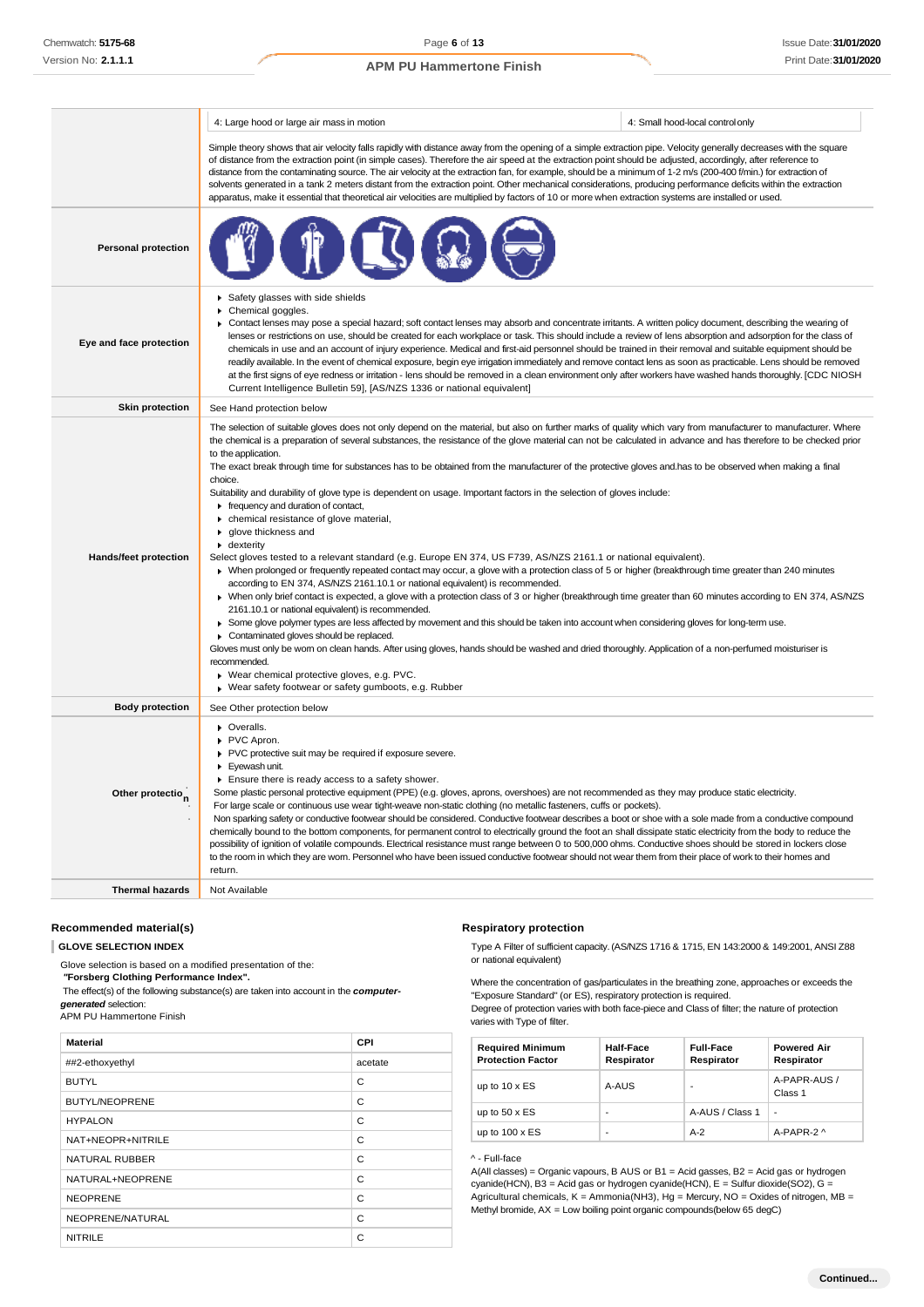|                              | 4: Large hood or large air mass in motion                                                                                                                                                                                                                                                                                                                                                                                                                                                                                                                                                                                                                                                                                                                                                                                                                                                                                                                                                                                                                                                                                                                                                                                                                                                                                                                                                                                                                                                                                                                                                                                                                                                                                                                                                                    | 4: Small hood-local control only |
|------------------------------|--------------------------------------------------------------------------------------------------------------------------------------------------------------------------------------------------------------------------------------------------------------------------------------------------------------------------------------------------------------------------------------------------------------------------------------------------------------------------------------------------------------------------------------------------------------------------------------------------------------------------------------------------------------------------------------------------------------------------------------------------------------------------------------------------------------------------------------------------------------------------------------------------------------------------------------------------------------------------------------------------------------------------------------------------------------------------------------------------------------------------------------------------------------------------------------------------------------------------------------------------------------------------------------------------------------------------------------------------------------------------------------------------------------------------------------------------------------------------------------------------------------------------------------------------------------------------------------------------------------------------------------------------------------------------------------------------------------------------------------------------------------------------------------------------------------|----------------------------------|
|                              | Simple theory shows that air velocity falls rapidly with distance away from the opening of a simple extraction pipe. Velocity generally decreases with the square<br>of distance from the extraction point (in simple cases). Therefore the air speed at the extraction point should be adjusted, accordingly, after reference to<br>distance from the contaminating source. The air velocity at the extraction fan, for example, should be a minimum of 1-2 m/s (200-400 f/min.) for extraction of<br>solvents generated in a tank 2 meters distant from the extraction point. Other mechanical considerations, producing performance deficits within the extraction<br>apparatus, make it essential that theoretical air velocities are multiplied by factors of 10 or more when extraction systems are installed or used.                                                                                                                                                                                                                                                                                                                                                                                                                                                                                                                                                                                                                                                                                                                                                                                                                                                                                                                                                                                 |                                  |
| <b>Personal protection</b>   |                                                                                                                                                                                                                                                                                                                                                                                                                                                                                                                                                                                                                                                                                                                                                                                                                                                                                                                                                                                                                                                                                                                                                                                                                                                                                                                                                                                                                                                                                                                                                                                                                                                                                                                                                                                                              |                                  |
| Eye and face protection      | Safety glasses with side shields<br>Chemical goggles.<br>▶ Contact lenses may pose a special hazard; soft contact lenses may absorb and concentrate irritants. A written policy document, describing the wearing of<br>lenses or restrictions on use, should be created for each workplace or task. This should include a review of lens absorption and adsorption for the class of<br>chemicals in use and an account of injury experience. Medical and first-aid personnel should be trained in their removal and suitable equipment should be<br>readily available. In the event of chemical exposure, begin eye irrigation immediately and remove contact lens as soon as practicable. Lens should be removed<br>at the first signs of eye redness or irritation - lens should be removed in a clean environment only after workers have washed hands thoroughly. [CDC NIOSH<br>Current Intelligence Bulletin 59], [AS/NZS 1336 or national equivalent]                                                                                                                                                                                                                                                                                                                                                                                                                                                                                                                                                                                                                                                                                                                                                                                                                                                  |                                  |
| <b>Skin protection</b>       | See Hand protection below                                                                                                                                                                                                                                                                                                                                                                                                                                                                                                                                                                                                                                                                                                                                                                                                                                                                                                                                                                                                                                                                                                                                                                                                                                                                                                                                                                                                                                                                                                                                                                                                                                                                                                                                                                                    |                                  |
| <b>Hands/feet protection</b> | The selection of suitable gloves does not only depend on the material, but also on further marks of quality which vary from manufacturer to manufacturer. Where<br>the chemical is a preparation of several substances, the resistance of the glove material can not be calculated in advance and has therefore to be checked prior<br>to the application.<br>The exact break through time for substances has to be obtained from the manufacturer of the protective gloves and has to be observed when making a final<br>choice.<br>Suitability and durability of glove type is dependent on usage. Important factors in the selection of gloves include:<br>$\blacktriangleright$ frequency and duration of contact,<br>chemical resistance of glove material,<br>▶ qlove thickness and<br>• dexterity<br>Select gloves tested to a relevant standard (e.g. Europe EN 374, US F739, AS/NZS 2161.1 or national equivalent).<br>▶ When prolonged or frequently repeated contact may occur, a glove with a protection class of 5 or higher (breakthrough time greater than 240 minutes<br>according to EN 374, AS/NZS 2161.10.1 or national equivalent) is recommended.<br>▶ When only brief contact is expected, a glove with a protection class of 3 or higher (breakthrough time greater than 60 minutes according to EN 374, AS/NZS<br>2161.10.1 or national equivalent) is recommended.<br>> Some glove polymer types are less affected by movement and this should be taken into account when considering gloves for long-term use.<br>Contaminated gloves should be replaced.<br>Gloves must only be wom on clean hands. After using gloves, hands should be washed and dried thoroughly. Application of a non-perfumed moisturiser is<br>recommended.<br>▶ Wear chemical protective gloves, e.g. PVC. |                                  |
| <b>Body protection</b>       | See Other protection below                                                                                                                                                                                                                                                                                                                                                                                                                                                                                                                                                                                                                                                                                                                                                                                                                                                                                                                                                                                                                                                                                                                                                                                                                                                                                                                                                                                                                                                                                                                                                                                                                                                                                                                                                                                   |                                  |
| Other protection             | • Overalls.<br>PVC Apron.<br>PVC protective suit may be required if exposure severe.<br>Eyewash unit.<br>Ensure there is ready access to a safety shower.<br>Some plastic personal protective equipment (PPE) (e.g. gloves, aprons, overshoes) are not recommended as they may produce static electricity.<br>For large scale or continuous use wear tight-weave non-static clothing (no metallic fasteners, cuffs or pockets).<br>Non sparking safety or conductive footwear should be considered. Conductive footwear describes a boot or shoe with a sole made from a conductive compound<br>chemically bound to the bottom components, for permanent control to electrically ground the foot an shall dissipate static electricity from the body to reduce the<br>possibility of ignition of volatile compounds. Electrical resistance must range between 0 to 500,000 ohms. Conductive shoes should be stored in lockers close<br>to the room in which they are worn. Personnel who have been issued conductive footwear should not wear them from their place of work to their homes and<br>return.                                                                                                                                                                                                                                                                                                                                                                                                                                                                                                                                                                                                                                                                                                    |                                  |
| <b>Thermal hazards</b>       | Not Available                                                                                                                                                                                                                                                                                                                                                                                                                                                                                                                                                                                                                                                                                                                                                                                                                                                                                                                                                                                                                                                                                                                                                                                                                                                                                                                                                                                                                                                                                                                                                                                                                                                                                                                                                                                                |                                  |

### **Recommended material(s)**

**GLOVE SELECTION INDEX**

Glove selection is based on a modified presentation of the: *"***Forsberg Clothing Performance Index".** The effect(s) of the following substance(s) are taken into account in the *computergenerated* selection: APM PU Hammertone Finish **Material CPI** ##2-ethoxyethyl acetate BUTYL CONTROL CONTROL CONTROL CONTROL CONTROL CONTROL CONTROL CONTROL CONTROL CONTROL CONTROL CONTROL CONTROL CONTROL CONTROL CONTROL CONTROL CONTROL CONTROL CONTROL CONTROL CONTROL CONTROL CONTROL CONTROL CONTROL CONTROL BUTYL/NEOPRENE C HYPALON C NAT+NEOPR+NITRILE C NATURAL RUBBER C NATURAL+NEOPRENE C NEOPRENE C NEOPRENE/NATURAL C

NITRILE COMMUNIST COMMUNIST COMMUNIST COMMUNIST COMMUNIST COMMUNIST COMMUNIST COMMUNIST COMMUNIST COMMUNIST COMMUNIST COMMUNIST COMMUNIST COMMUNIST COMMUNIST COMMUNIST COMMUNIST COMMUNIST COMMUNIST COMMUNIST COMMUNIST COMM

#### **Respiratory protection**

Type A Filter of sufficient capacity. (AS/NZS 1716 & 1715, EN 143:2000 & 149:2001, ANSI Z88 or national equivalent)

Where the concentration of gas/particulates in the breathing zone, approaches or exceeds the "Exposure Standard" (or ES), respiratory protection is required.

Degree of protection varies with both face-piece and Class of filter; the nature of protection varies with Type of filter.

| <b>Required Minimum</b><br><b>Protection Factor</b> | <b>Half-Face</b><br>Respirator | <b>Full-Face</b><br>Respirator | <b>Powered Air</b><br>Respirator |
|-----------------------------------------------------|--------------------------------|--------------------------------|----------------------------------|
| up to $10 \times ES$                                | A-AUS                          |                                | A-PAPR-AUS /<br>Class 1          |
| up to $50 \times ES$                                | -                              | A-AUS / Class 1                |                                  |
| up to $100 \times ES$                               |                                | $A-2$                          | A-PAPR-2 $\land$                 |

#### ^ - Full-face

A(All classes) = Organic vapours, B AUS or B1 = Acid gasses, B2 = Acid gas or hydrogen cyanide(HCN), B3 = Acid gas or hydrogen cyanide(HCN), E = Sulfur dioxide(SO2), G = Agricultural chemicals,  $K =$  Ammonia(NH3), Hg = Mercury, NO = Oxides of nitrogen, MB = Methyl bromide, AX = Low boiling point organic compounds(below 65 degC)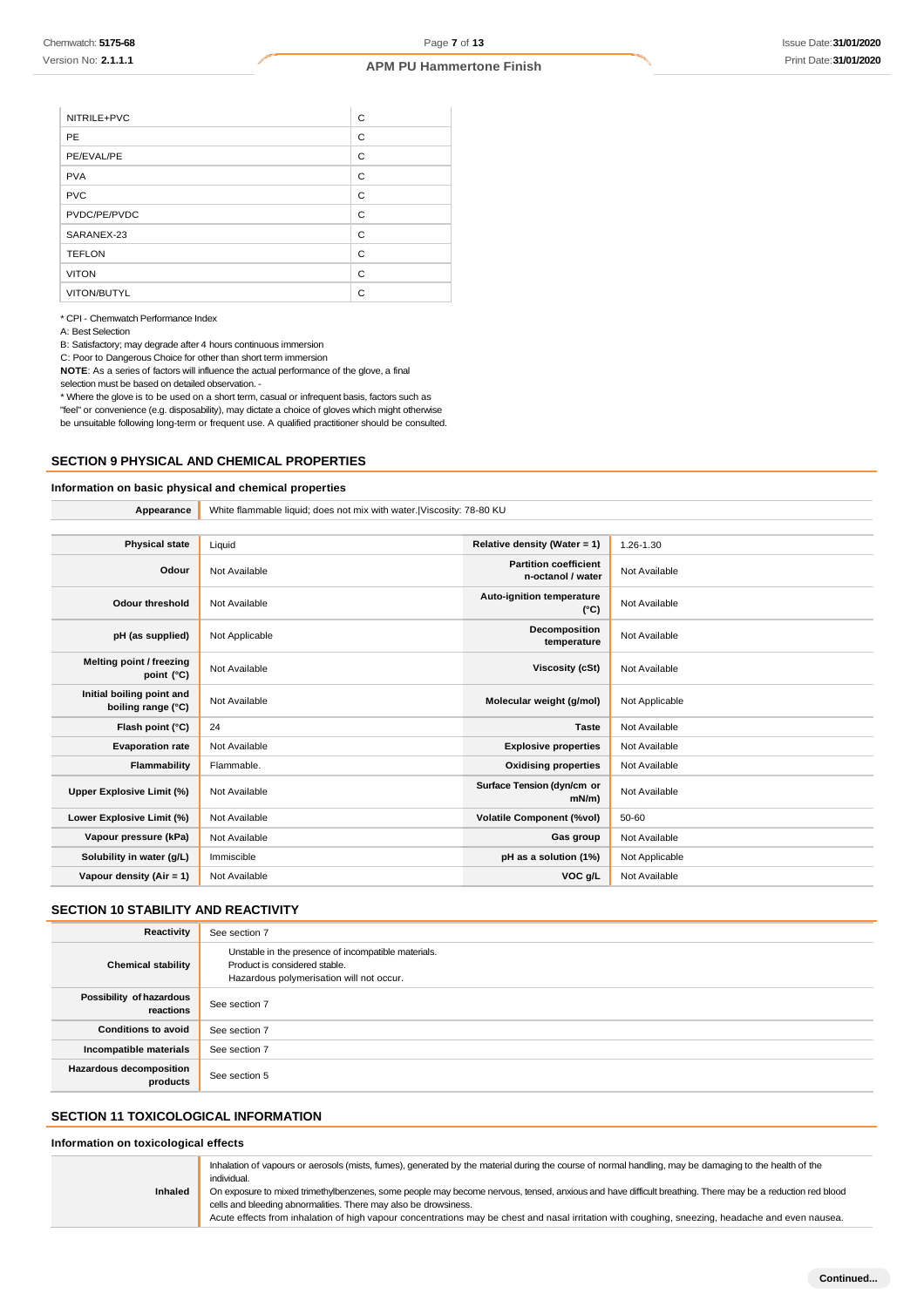| NITRILE+PVC   | C |
|---------------|---|
| <b>PE</b>     | C |
| PE/EVAL/PE    | C |
| <b>PVA</b>    | C |
| <b>PVC</b>    | C |
| PVDC/PE/PVDC  | C |
| SARANEX-23    | C |
| <b>TEFLON</b> | C |
| <b>VITON</b>  | C |
| VITON/BUTYL   | C |

\* CPI - Chemwatch Performance Index

A: Best Selection

B: Satisfactory; may degrade after 4 hours continuous immersion

C: Poor to Dangerous Choice for other than short term immersion

**NOTE**: As a series of factors will influence the actual performance of the glove, a final

selection must be based on detailed observation. -

\* Where the glove is to be used on a short term, casual or infrequent basis, factors such as "feel" or convenience (e.g. disposability), may dictate a choice of gloves which might otherwise be unsuitable following long-term or frequent use. A qualified practitioner should be consulted.

#### **SECTION 9 PHYSICAL AND CHEMICAL PROPERTIES**

### **Information on basic physical and chemical properties**

**Appearance** White flammable liquid; does not mix with water.|Viscosity: 78-80 KU **Physical state** Liquid **Relative density (Water = 1)** 1.26-1.30 **Odour** Not Available **Partition coefficient Partition coefficient n-octanol / water** Not Available **Odour threshold** Not Available **Auto-ignition temperature (°C)** Not Available **pH (as supplied)** Not Applicable **Decomposition temperature** Not Available **Melting point / freezing point** (°C) Not Available **Viscosity (cSt)** Not Available **Viscosity (cSt)** Not Available **Initial boiling point and boiling range (°C)** Not Available **Molecular weight (g/mol)** Not Applicable **boiling range (°C)** Not Applicable **Flash point (°C)** 24 **Taste** Not Available **Evaporation rate** Not Available **Explosive properties** Not Available **Flammability** Flammable. **Communist Example 2 Oxidising properties** Not Available **Upper Explosive Limit (%)** Not Available **Surface Tension (dyn/cm or mN/m)** Not Available **Lower Explosive Limit (%)** Not Available **Volatile Component (%vol)** 50-60 **Vapour pressure (kPa)** Not Available **Gas group** Not Available **Gas group** Not Available **Solubility in water (g/L)** Immiscible **phase a solution (1%)** Not Applicable **Vapour density (Air = 1)** Not Available **VOC g/L** Not Available

# **SECTION 10 STABILITY AND REACTIVITY**

| Reactivity                                 | See section 7                                                                                                                    |
|--------------------------------------------|----------------------------------------------------------------------------------------------------------------------------------|
| <b>Chemical stability</b>                  | Unstable in the presence of incompatible materials.<br>Product is considered stable.<br>Hazardous polymerisation will not occur. |
| Possibility of hazardous<br>reactions      | See section 7                                                                                                                    |
| <b>Conditions to avoid</b>                 | See section 7                                                                                                                    |
| Incompatible materials                     | See section 7                                                                                                                    |
| <b>Hazardous decomposition</b><br>products | See section 5                                                                                                                    |

# **SECTION 11 TOXICOLOGICAL INFORMATION**

#### **Information on toxicological effects**

|                | Inhalation of vapours or aerosols (mists, fumes), generated by the material during the course of normal handling, may be damaging to the health of the<br>individual.                                                       |
|----------------|-----------------------------------------------------------------------------------------------------------------------------------------------------------------------------------------------------------------------------|
| <b>Inhaled</b> | On exposure to mixed trimethylbenzenes, some people may become nervous, tensed, anxious and have difficult breathing. There may be a reduction red blood<br>cells and bleeding abnormalities. There may also be drowsiness. |
|                | Acute effects from inhalation of high vapour concentrations may be chest and nasal irritation with coughing, sneezing, headache and even nausea.                                                                            |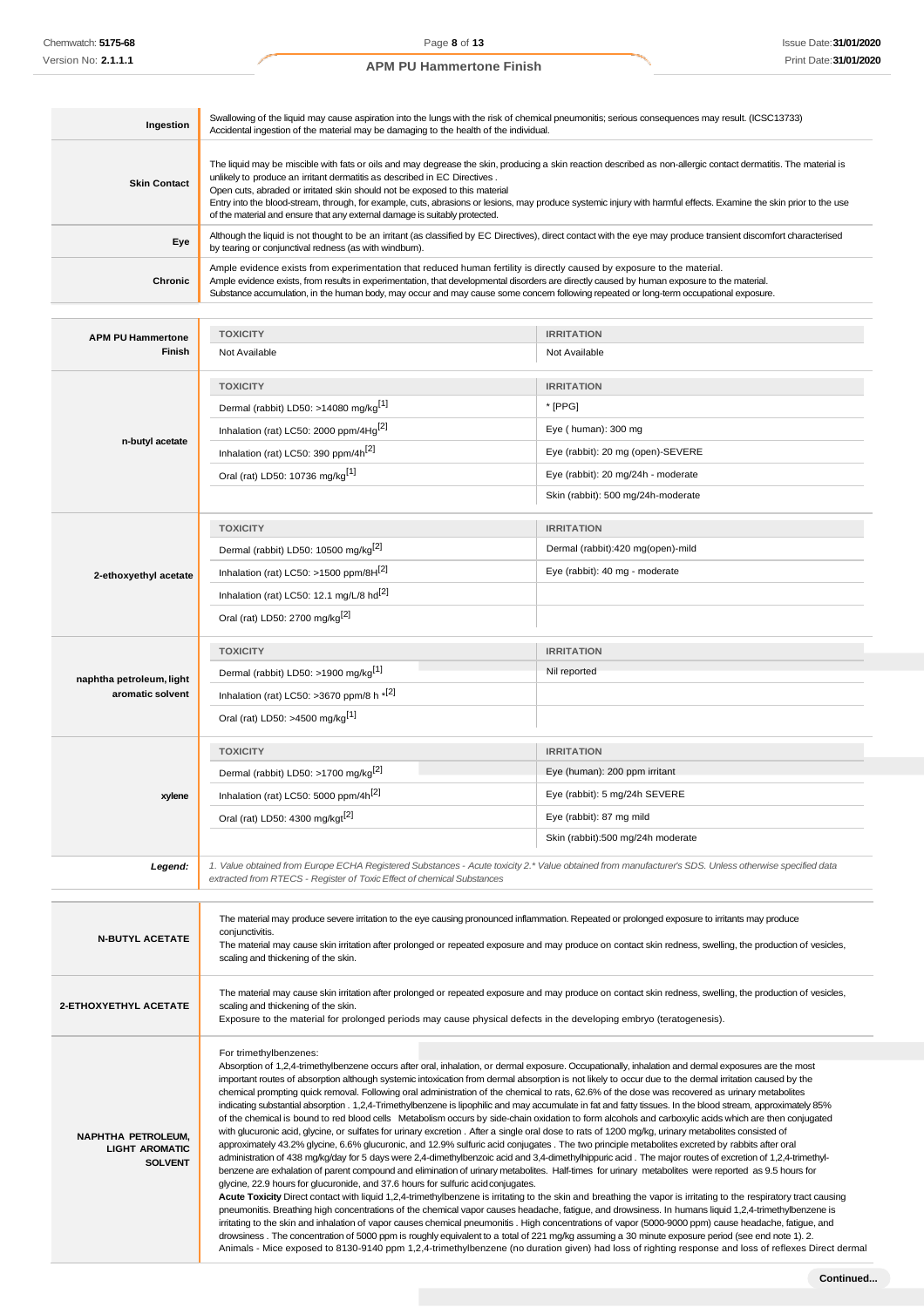| Ingestion           | Swallowing of the liquid may cause aspiration into the lungs with the risk of chemical pneumonitis; serious consequences may result. (ICSC13733)<br>Accidental ingestion of the material may be damaging to the health of the individual.                                                                                                                                                                                                                                                                                                                                       |
|---------------------|---------------------------------------------------------------------------------------------------------------------------------------------------------------------------------------------------------------------------------------------------------------------------------------------------------------------------------------------------------------------------------------------------------------------------------------------------------------------------------------------------------------------------------------------------------------------------------|
| <b>Skin Contact</b> | The liquid may be miscible with fats or oils and may degrease the skin, producing a skin reaction described as non-allergic contact dermatitis. The material is<br>unlikely to produce an irritant dermatitis as described in EC Directives.<br>Open cuts, abraded or irritated skin should not be exposed to this material<br>Entry into the blood-stream, through, for example, cuts, abrasions or lesions, may produce systemic injury with harmful effects. Examine the skin prior to the use<br>of the material and ensure that any external damage is suitably protected. |
| Eye                 | Although the liquid is not thought to be an irritant (as classified by EC Directives), direct contact with the eye may produce transient discomfort characterised<br>by tearing or conjunctival redness (as with windburn).                                                                                                                                                                                                                                                                                                                                                     |
| Chronic             | Ample evidence exists from experimentation that reduced human fertility is directly caused by exposure to the material.<br>Ample evidence exists, from results in experimentation, that developmental disorders are directly caused by human exposure to the material.<br>Substance accumulation, in the human body, may occur and may cause some concern following repeated or long-term occupational exposure.                                                                                                                                                                |

| <b>APM PU Hammertone</b>                           | <b>TOXICITY</b>                                                                                                                                                                                                                                                                                                            | <b>IRRITATION</b>                                                                                                                                   |  |
|----------------------------------------------------|----------------------------------------------------------------------------------------------------------------------------------------------------------------------------------------------------------------------------------------------------------------------------------------------------------------------------|-----------------------------------------------------------------------------------------------------------------------------------------------------|--|
| Finish                                             | Not Available                                                                                                                                                                                                                                                                                                              | Not Available                                                                                                                                       |  |
|                                                    | <b>TOXICITY</b>                                                                                                                                                                                                                                                                                                            | <b>IRRITATION</b>                                                                                                                                   |  |
|                                                    | Dermal (rabbit) LD50: >14080 mg/kg <sup>[1]</sup>                                                                                                                                                                                                                                                                          | * [PPG]                                                                                                                                             |  |
|                                                    | Inhalation (rat) LC50: 2000 ppm/4Hg <sup>[2]</sup>                                                                                                                                                                                                                                                                         | Eye (human): 300 mg                                                                                                                                 |  |
| n-butyl acetate                                    | Inhalation (rat) LC50: 390 ppm/4h <sup>[2]</sup>                                                                                                                                                                                                                                                                           | Eye (rabbit): 20 mg (open)-SEVERE                                                                                                                   |  |
|                                                    | Oral (rat) LD50: 10736 mg/kg[1]                                                                                                                                                                                                                                                                                            | Eye (rabbit): 20 mg/24h - moderate                                                                                                                  |  |
|                                                    |                                                                                                                                                                                                                                                                                                                            | Skin (rabbit): 500 mg/24h-moderate                                                                                                                  |  |
|                                                    | <b>TOXICITY</b>                                                                                                                                                                                                                                                                                                            | <b>IRRITATION</b>                                                                                                                                   |  |
|                                                    | Dermal (rabbit) LD50: 10500 mg/kg <sup>[2]</sup>                                                                                                                                                                                                                                                                           | Dermal (rabbit):420 mg(open)-mild                                                                                                                   |  |
| 2-ethoxyethyl acetate                              | Inhalation (rat) LC50: >1500 ppm/8H <sup>[2]</sup>                                                                                                                                                                                                                                                                         | Eye (rabbit): 40 mg - moderate                                                                                                                      |  |
|                                                    | Inhalation (rat) LC50: 12.1 mg/L/8 hd <sup>[2]</sup>                                                                                                                                                                                                                                                                       |                                                                                                                                                     |  |
|                                                    | Oral (rat) LD50: 2700 mg/kg <sup>[2]</sup>                                                                                                                                                                                                                                                                                 |                                                                                                                                                     |  |
|                                                    | <b>TOXICITY</b>                                                                                                                                                                                                                                                                                                            | <b>IRRITATION</b>                                                                                                                                   |  |
| naphtha petroleum, light                           | Dermal (rabbit) LD50: >1900 mg/kg <sup>[1]</sup>                                                                                                                                                                                                                                                                           | Nil reported                                                                                                                                        |  |
| aromatic solvent                                   | Inhalation (rat) LC50: >3670 ppm/8 h $*$ <sup>[2]</sup>                                                                                                                                                                                                                                                                    |                                                                                                                                                     |  |
|                                                    | Oral (rat) LD50: >4500 mg/kg <sup>[1]</sup>                                                                                                                                                                                                                                                                                |                                                                                                                                                     |  |
|                                                    | <b>TOXICITY</b>                                                                                                                                                                                                                                                                                                            | <b>IRRITATION</b>                                                                                                                                   |  |
|                                                    | Dermal (rabbit) LD50: >1700 mg/kg <sup>[2]</sup>                                                                                                                                                                                                                                                                           | Eye (human): 200 ppm irritant                                                                                                                       |  |
| xylene                                             | Inhalation (rat) LC50: 5000 ppm/4h <sup>[2]</sup>                                                                                                                                                                                                                                                                          | Eye (rabbit): 5 mg/24h SEVERE                                                                                                                       |  |
|                                                    | Oral (rat) LD50: 4300 mg/kgt <sup>[2]</sup>                                                                                                                                                                                                                                                                                | Eye (rabbit): 87 mg mild                                                                                                                            |  |
|                                                    |                                                                                                                                                                                                                                                                                                                            | Skin (rabbit):500 mg/24h moderate                                                                                                                   |  |
| Legend:                                            | 1. Value obtained from Europe ECHA Registered Substances - Acute toxicity 2.* Value obtained from manufacturer's SDS. Unless otherwise specified data                                                                                                                                                                      |                                                                                                                                                     |  |
|                                                    | extracted from RTECS - Register of Toxic Effect of chemical Substances                                                                                                                                                                                                                                                     |                                                                                                                                                     |  |
|                                                    | The material may produce severe irritation to the eye causing pronounced inflammation. Repeated or prolonged exposure to irritants may produce                                                                                                                                                                             |                                                                                                                                                     |  |
| <b>N-BUTYL ACETATE</b>                             | conjunctivitis.<br>The material may cause skin irritation after prolonged or repeated exposure and may produce on contact skin redness, swelling, the production of vesicles,                                                                                                                                              |                                                                                                                                                     |  |
|                                                    | scaling and thickening of the skin.                                                                                                                                                                                                                                                                                        |                                                                                                                                                     |  |
|                                                    | The material may cause skin irritation after prolonged or repeated exposure and may produce on contact skin redness, swelling, the production of vesicles,                                                                                                                                                                 |                                                                                                                                                     |  |
| 2-ETHOXYETHYL ACETATE                              | scaling and thickening of the skin.<br>Exposure to the material for prolonged periods may cause physical defects in the developing embryo (teratogenesis).                                                                                                                                                                 |                                                                                                                                                     |  |
|                                                    |                                                                                                                                                                                                                                                                                                                            |                                                                                                                                                     |  |
|                                                    | For trimethylbenzenes:                                                                                                                                                                                                                                                                                                     |                                                                                                                                                     |  |
|                                                    | Absorption of 1,2,4-trimethylbenzene occurs after oral, inhalation, or dermal exposure. Occupationally, inhalation and dermal exposures are the most<br>important routes of absorption although systemic intoxication from dermal absorption is not likely to occur due to the dermal irritation caused by the             |                                                                                                                                                     |  |
|                                                    | chemical prompting quick removal. Following oral administration of the chemical to rats, 62.6% of the dose was recovered as urinary metabolites<br>indicating substantial absorption . 1,2,4-Trimethylbenzene is lipophilic and may accumulate in fat and fatty tissues. In the blood stream, approximately 85%            |                                                                                                                                                     |  |
|                                                    | of the chemical is bound to red blood cells Metabolism occurs by side-chain oxidation to form alcohols and carboxylic acids which are then conjugated                                                                                                                                                                      |                                                                                                                                                     |  |
| <b>NAPHTHA PETROLEUM,</b><br><b>LIGHT AROMATIC</b> | with glucuronic acid, glycine, or sulfates for urinary excretion. After a single oral dose to rats of 1200 mg/kg, urinary metabolites consisted of<br>approximately 43.2% glycine, 6.6% glucuronic, and 12.9% sulfuric acid conjugates. The two principle metabolites excreted by rabbits after oral                       |                                                                                                                                                     |  |
| <b>SOLVENT</b>                                     | administration of 438 mg/kg/day for 5 days were 2,4-dimethylbenzoic acid and 3,4-dimethylhippuric acid. The major routes of excretion of 1,2,4-trimethyl-<br>benzene are exhalation of parent compound and elimination of urinary metabolites. Half-times for urinary metabolites were reported as 9.5 hours for           |                                                                                                                                                     |  |
|                                                    | glycine, 22.9 hours for glucuronide, and 37.6 hours for sulfuric acid conjugates.                                                                                                                                                                                                                                          |                                                                                                                                                     |  |
|                                                    | Acute Toxicity Direct contact with liquid 1,2,4-trimethylbenzene is irritating to the skin and breathing the vapor is irritating to the respiratory tract causing<br>pneumonitis. Breathing high concentrations of the chemical vapor causes headache, fatigue, and drowsiness. In humans liquid 1,2,4-trimethylbenzene is |                                                                                                                                                     |  |
|                                                    | irritating to the skin and inhalation of vapor causes chemical pneumonitis. High concentrations of vapor (5000-9000 ppm) cause headache, fatigue, and<br>drowsiness. The concentration of 5000 ppm is roughly equivalent to a total of 221 mg/kg assuming a 30 minute exposure period (see end note 1). 2.                 |                                                                                                                                                     |  |
|                                                    |                                                                                                                                                                                                                                                                                                                            | Animals - Mice exposed to 8130-9140 ppm 1,2,4-trimethylbenzene (no duration given) had loss of righting response and loss of reflexes Direct dermal |  |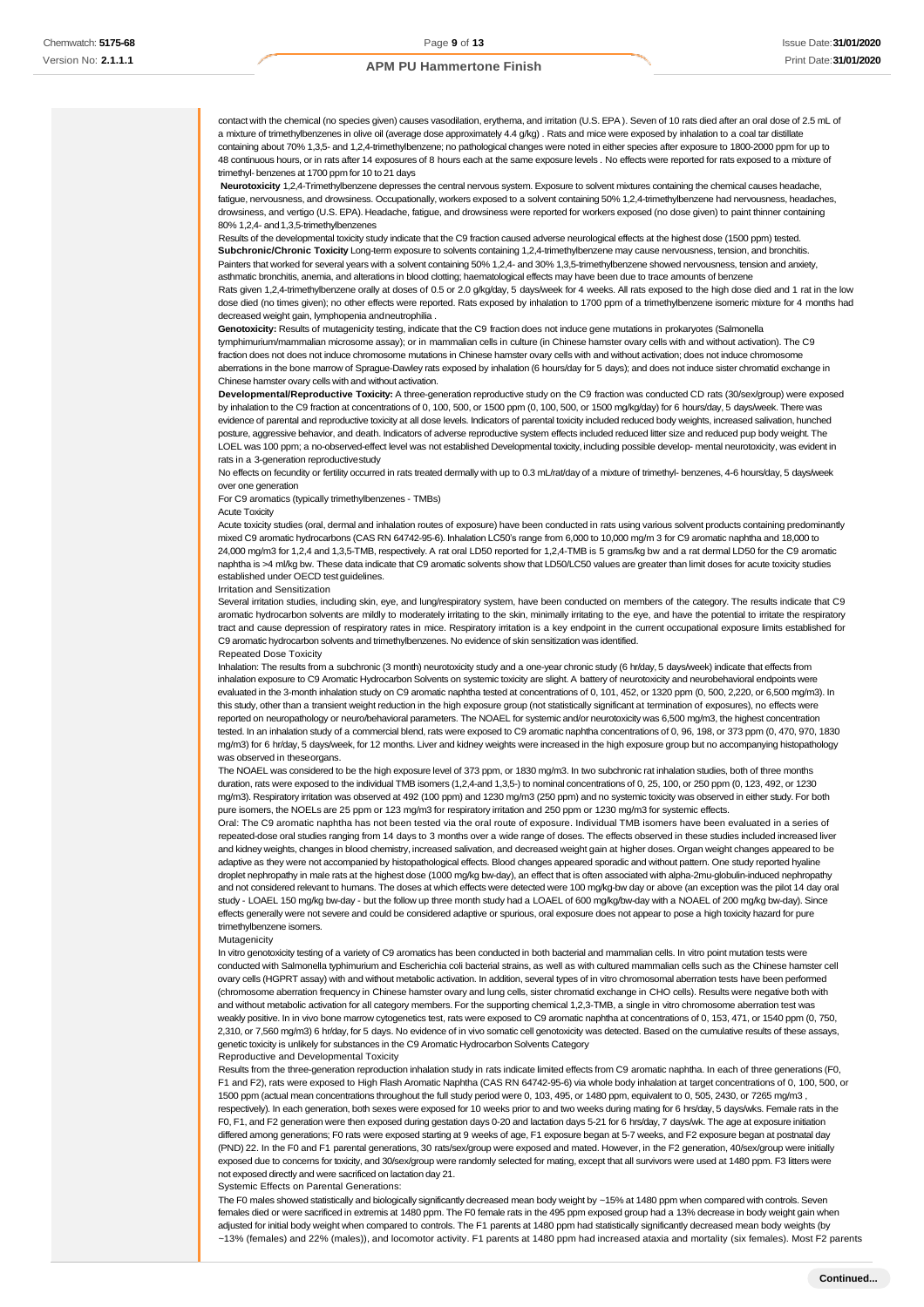contact with the chemical (no species given) causes vasodilation, erythema, and irritation (U.S. EPA ). Seven of 10 rats died after an oral dose of 2.5 mL of a mixture of trimethylbenzenes in olive oil (average dose approximately 4.4 g/kg) . Rats and mice were exposed by inhalation to a coal tar distillate containing about 70% 1,3,5- and 1,2,4-trimethylbenzene; no pathological changes were noted in either species after exposure to 1800-2000 ppm for up to 48 continuous hours, or in rats after 14 exposures of 8 hours each at the same exposure levels . No effects were reported for rats exposed to a mixture of trimethyl- benzenes at 1700 ppm for 10 to 21 days

Neurotoxicity 1,2,4-Trimethylbenzene depresses the central nervous system. Exposure to solvent mixtures containing the chemical causes headache fatigue, nervousness, and drowsiness. Occupationally, workers exposed to a solvent containing 50% 1,2,4-trimethylbenzene had nervousness, headaches, drowsiness, and vertigo (U.S. EPA). Headache, fatigue, and drowsiness were reported for workers exposed (no dose given) to paint thinner containing 80% 1,2,4- and 1,3,5-trimethylbenzenes

Results of the developmental toxicity study indicate that the C9 fraction caused adverse neurological effects at the highest dose (1500 ppm) tested. **Subchronic/Chronic Toxicity** Long-term exposure to solvents containing 1,2,4-trimethylbenzene may cause nervousness, tension, and bronchitis. Painters that worked for several years with a solvent containing 50% 1,2,4- and 30% 1,3,5-trimethylbenzene showed nervousness, tension and anxiety, asthmatic bronchitis, anemia, and alterations in blood clotting; haematological effects may have been due to trace amounts of benzene

Rats given 1,2,4-trimethylbenzene orally at doses of 0.5 or 2.0 g/kg/day, 5 days/week for 4 weeks. All rats exposed to the high dose died and 1 rat in the low dose died (no times given); no other effects were reported. Rats exposed by inhalation to 1700 ppm of a trimethylbenzene isomeric mixture for 4 months had decreased weight gain, lymphopenia andneutrophilia .

**Genotoxicity:** Results of mutagenicity testing, indicate that the C9 fraction does not induce gene mutations in prokaryotes (Salmonella tymphimurium/mammalian microsome assay); or in mammalian cells in culture (in Chinese hamster ovary cells with and without activation). The C9 fraction does not does not induce chromosome mutations in Chinese hamster ovary cells with and without activation; does not induce chromosome aberrations in the bone marrow of Sprague-Dawley rats exposed by inhalation (6 hours/day for 5 days); and does not induce sister chromatid exchange in Chinese hamster ovary cells with and without activation.

**Developmental/Reproductive Toxicity:** A three-generation reproductive study on the C9 fraction was conducted CD rats (30/sex/group) were exposed by inhalation to the C9 fraction at concentrations of 0, 100, 500, or 1500 ppm (0, 100, 500, or 1500 mg/kg/day) for 6 hours/day, 5 days/week. There was evidence of parental and reproductive toxicity at all dose levels. Indicators of parental toxicity included reduced body weights, increased salivation, hunched posture, aggressive behavior, and death. Indicators of adverse reproductive system effects included reduced litter size and reduced pup body weight. The LOEL was 100 ppm; a no-observed-effect level was not established Developmental toxicity, including possible develop- mental neurotoxicity, was evident in rats in a 3-generation reproductivestudy

No effects on fecundity or fertility occurred in rats treated dermally with up to 0.3 mL/rat/day of a mixture of trimethyl- benzenes, 4-6 hours/day, 5 days/week over one generation

For C9 aromatics (typically trimethylbenzenes - TMBs)

#### Acute Toxicity

Acute toxicity studies (oral, dermal and inhalation routes of exposure) have been conducted in rats using various solvent products containing predominantly mixed C9 aromatic hydrocarbons (CAS RN 64742-95-6). Inhalation LC50's range from 6,000 to 10,000 mg/m 3 for C9 aromatic naphtha and 18,000 to 24,000 mg/m3 for 1,2,4 and 1,3,5-TMB, respectively. A rat oral LD50 reported for 1,2,4-TMB is 5 grams/kg bw and a rat dermal LD50 for the C9 aromatic naphtha is >4 ml/kg bw. These data indicate that C9 aromatic solvents show that LD50/LC50 values are greater than limit doses for acute toxicity studies established under OECD test guidelines.

Irritation and Sensitization

Several irritation studies, including skin, eye, and lung/respiratory system, have been conducted on members of the category. The results indicate that C9 aromatic hydrocarbon solvents are mildly to moderately irritating to the skin, minimally irritating to the eye, and have the potential to irritate the respiratory tract and cause depression of respiratory rates in mice. Respiratory irritation is a key endpoint in the current occupational exposure limits established for C9 aromatic hydrocarbon solvents and trimethylbenzenes. No evidence of skin sensitization was identified.

#### Repeated Dose Toxicity

Inhalation: The results from a subchronic (3 month) neurotoxicity study and a one-year chronic study (6 hr/day, 5 days/week) indicate that effects from inhalation exposure to C9 Aromatic Hydrocarbon Solvents on systemic toxicity are slight. A battery of neurotoxicity and neurobehavioral endpoints were evaluated in the 3-month inhalation study on C9 aromatic naphtha tested at concentrations of 0, 101, 452, or 1320 ppm (0, 500, 2,220, or 6,500 mg/m3). In this study, other than a transient weight reduction in the high exposure group (not statistically significant at termination of exposures), no effects were reported on neuropathology or neuro/behavioral parameters. The NOAEL for systemic and/or neurotoxicity was 6,500 mg/m3, the highest concentration ed. In an inhalation study of a commercial blend, rats were exposed to C9 aromatic naphtha concentrations of 0, 96, 198, or 373 ppm (0, 470, 970, 1830 mg/m3) for 6 hr/day, 5 days/week, for 12 months. Liver and kidney weights were increased in the high exposure group but no accompanying histopathology was observed in theseorgans.

The NOAEL was considered to be the high exposure level of 373 ppm, or 1830 mg/m3. In two subchronic rat inhalation studies, both of three months duration, rats were exposed to the individual TMB isomers (1,2,4-and 1,3,5-) to nominal concentrations of 0, 25, 100, or 250 ppm (0, 123, 492, or 1230 mg/m3). Respiratory irritation was observed at 492 (100 ppm) and 1230 mg/m3 (250 ppm) and no systemic toxicity was observed in either study. For both pure isomers, the NOELs are 25 ppm or 123 mg/m3 for respiratory irritation and 250 ppm or 1230 mg/m3 for systemic effects.

Oral: The C9 aromatic naphtha has not been tested via the oral route of exposure. Individual TMB isomers have been evaluated in a series of repeated-dose oral studies ranging from 14 days to 3 months over a wide range of doses. The effects observed in these studies included increased liver and kidney weights, changes in blood chemistry, increased salivation, and decreased weight gain at higher doses. Organ weight changes appeared to be adaptive as they were not accompanied by histopathological effects. Blood changes appeared sporadic and without pattern. One study reported hyaline droplet nephropathy in male rats at the highest dose (1000 mg/kg bw-day), an effect that is often associated with alpha-2mu-globulin-induced nephropathy and not considered relevant to humans. The doses at which effects were detected were 100 mg/kg-bw day or above (an exception was the pilot 14 day oral study - LOAEL 150 mg/kg bw-day - but the follow up three month study had a LOAEL of 600 mg/kg/bw-day with a NOAEL of 200 mg/kg bw-day). Since effects generally were not severe and could be considered adaptive or spurious, oral exposure does not appear to pose a high toxicity hazard for pure trimethylbenzene isomers.

#### Mutagenicity

In vitro genotoxicity testing of a variety of C9 aromatics has been conducted in both bacterial and mammalian cells. In vitro point mutation tests were conducted with Salmonella typhimurium and Escherichia coli bacterial strains, as well as with cultured mammalian cells such as the Chinese hamster cell ovary cells (HGPRT assay) with and without metabolic activation. In addition, several types of in vitro chromosomal aberration tests have been performed (chromosome aberration frequency in Chinese hamster ovary and lung cells, sister chromatid exchange in CHO cells). Results were negative both with and without metabolic activation for all category members. For the supporting chemical 1,2,3-TMB, a single in vitro chromosome aberration test was weakly positive. In in vivo bone marrow cytogenetics test, rats were exposed to C9 aromatic naphtha at concentrations of 0, 153, 471, or 1540 ppm (0, 750, 2,310, or 7,560 mg/m3) 6 hr/day, for 5 days. No evidence of in vivo somatic cell genotoxicity was detected. Based on the cumulative results of these assays, genetic toxicity is unlikely for substances in the C9 Aromatic Hydrocarbon Solvents Category

#### Reproductive and Developmental Toxicity

Results from the three-generation reproduction inhalation study in rats indicate limited effects from C9 aromatic naphtha. In each of three generations (F0, F1 and F2), rats were exposed to High Flash Aromatic Naphtha (CAS RN 64742-95-6) via whole body inhalation at target concentrations of 0, 100, 500, or 1500 ppm (actual mean concentrations throughout the full study period were 0, 103, 495, or 1480 ppm, equivalent to 0, 505, 2430, or 7265 mg/m3 , respectively). In each generation, both sexes were exposed for 10 weeks prior to and two weeks during mating for 6 hrs/day, 5 days/wks. Female rats in the F0, F1, and F2 generation were then exposed during gestation days 0-20 and lactation days 5-21 for 6 hrs/day, 7 days/wk. The age at exposure initiation differed among generations; F0 rats were exposed starting at 9 weeks of age, F1 exposure began at 5-7 weeks, and F2 exposure began at postnatal day (PND) 22. In the F0 and F1 parental generations, 30 rats/sex/group were exposed and mated. However, in the F2 generation, 40/sex/group were initially exposed due to concerns for toxicity, and 30/sex/group were randomly selected for mating, except that all survivors were used at 1480 ppm. F3 litters were not exposed directly and were sacrificed on lactation day 21.

Systemic Effects on Parental Generations:

The F0 males showed statistically and biologically significantly decreased mean body weight by ~15% at 1480 ppm when compared with controls. Seven females died or were sacrificed in extremis at 1480 ppm. The F0 female rats in the 495 ppm exposed group had a 13% decrease in body weight gain when adjusted for initial body weight when compared to controls. The F1 parents at 1480 ppm had statistically significantly decreased mean body weights (by ~13% (females) and 22% (males)), and locomotor activity. F1 parents at 1480 ppm had increased ataxia and mortality (six females). Most F2 parents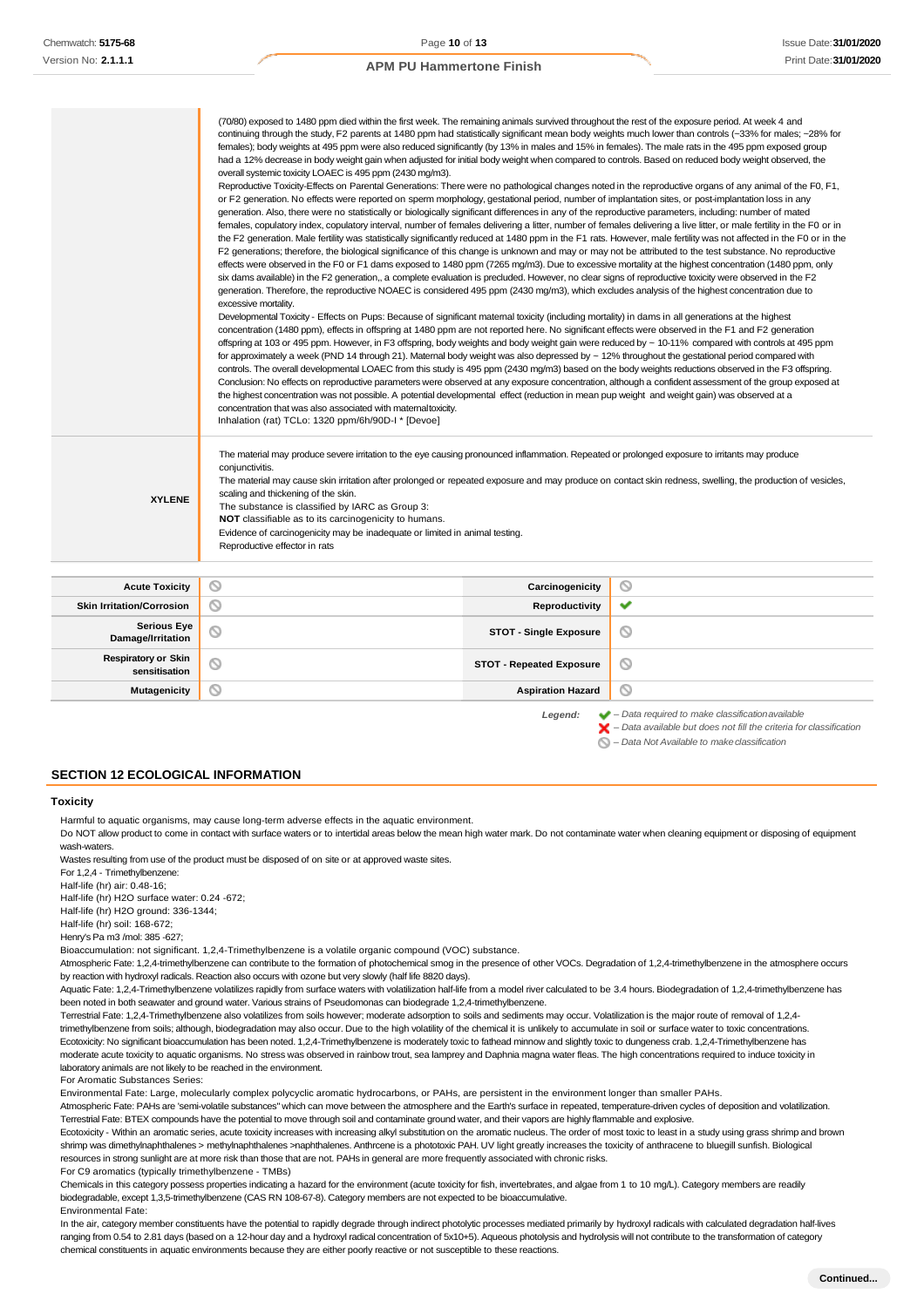|                                  | (70/80) exposed to 1480 ppm died within the first week. The remaining animals survived throughout the rest of the exposure period. At week 4 and<br>continuing through the study, F2 parents at 1480 ppm had statistically significant mean body weights much lower than controls (~33% for males; ~28% for<br>females); body weights at 495 ppm were also reduced significantly (by 13% in males and 15% in females). The male rats in the 495 ppm exposed group<br>had a 12% decrease in body weight gain when adjusted for initial body weight when compared to controls. Based on reduced body weight observed, the<br>overall systemic toxicity LOAEC is 495 ppm (2430 mg/m3).<br>Reproductive Toxicity-Effects on Parental Generations: There were no pathological changes noted in the reproductive organs of any animal of the F0, F1,<br>or F2 generation. No effects were reported on sperm morphology, gestational period, number of implantation sites, or post-implantation loss in any<br>generation. Also, there were no statistically or biologically significant differences in any of the reproductive parameters, including: number of mated<br>females, copulatory index, copulatory interval, number of females delivering a litter, number of females delivering a live litter, or male fertility in the F0 or in<br>the F2 generation. Male fertility was statistically significantly reduced at 1480 ppm in the F1 rats. However, male fertility was not affected in the F0 or in the<br>F2 generations; therefore, the biological significance of this change is unknown and may or may not be attributed to the test substance. No reproductive<br>effects were observed in the F0 or F1 dams exposed to 1480 ppm (7265 mg/m3). Due to excessive mortality at the highest concentration (1480 ppm, only<br>six dams available) in the F2 generation,, a complete evaluation is precluded. However, no clear signs of reproductive toxicity were observed in the F2<br>generation. Therefore, the reproductive NOAEC is considered 495 ppm (2430 mg/m3), which excludes analysis of the highest concentration due to<br>excessive mortality.<br>Developmental Toxicity - Effects on Pups: Because of significant maternal toxicity (including mortality) in dams in all generations at the highest<br>concentration (1480 ppm), effects in offspring at 1480 ppm are not reported here. No significant effects were observed in the F1 and F2 generation<br>offspring at 103 or 495 ppm. However, in F3 offspring, body weights and body weight gain were reduced by ~ 10-11% compared with controls at 495 ppm<br>for approximately a week (PND 14 through 21). Maternal body weight was also depressed by ~ 12% throughout the gestational period compared with<br>controls. The overall developmental LOAEC from this study is 495 ppm (2430 mg/m3) based on the body weights reductions observed in the F3 offspring.<br>Conclusion: No effects on reproductive parameters were observed at any exposure concentration, although a confident assessment of the group exposed at<br>the highest concentration was not possible. A potential developmental effect (reduction in mean pup weight and weight gain) was observed at a<br>concentration that was also associated with matemaltoxicity.<br>Inhalation (rat) TCLo: 1320 ppm/6h/90D-I * [Devoe] |                 |   |
|----------------------------------|-------------------------------------------------------------------------------------------------------------------------------------------------------------------------------------------------------------------------------------------------------------------------------------------------------------------------------------------------------------------------------------------------------------------------------------------------------------------------------------------------------------------------------------------------------------------------------------------------------------------------------------------------------------------------------------------------------------------------------------------------------------------------------------------------------------------------------------------------------------------------------------------------------------------------------------------------------------------------------------------------------------------------------------------------------------------------------------------------------------------------------------------------------------------------------------------------------------------------------------------------------------------------------------------------------------------------------------------------------------------------------------------------------------------------------------------------------------------------------------------------------------------------------------------------------------------------------------------------------------------------------------------------------------------------------------------------------------------------------------------------------------------------------------------------------------------------------------------------------------------------------------------------------------------------------------------------------------------------------------------------------------------------------------------------------------------------------------------------------------------------------------------------------------------------------------------------------------------------------------------------------------------------------------------------------------------------------------------------------------------------------------------------------------------------------------------------------------------------------------------------------------------------------------------------------------------------------------------------------------------------------------------------------------------------------------------------------------------------------------------------------------------------------------------------------------------------------------------------------------------------------------------------------------------------------------------------------------------------------------------------------------------------------------------------------------------------------------------------------------------------------------------------------------------------------------------------------------------------------------------------------------------------------------------------------------------------------------------------------------------------------------|-----------------|---|
| <b>XYLENE</b>                    | The material may produce severe irritation to the eye causing pronounced inflammation. Repeated or prolonged exposure to irritants may produce<br>conjunctivitis.<br>The material may cause skin irritation after prolonged or repeated exposure and may produce on contact skin redness, swelling, the production of vesicles,<br>scaling and thickening of the skin.<br>The substance is classified by IARC as Group 3:<br>NOT classifiable as to its carcinogenicity to humans.<br>Evidence of carcinogenicity may be inadequate or limited in animal testing.<br>Reproductive effector in rats                                                                                                                                                                                                                                                                                                                                                                                                                                                                                                                                                                                                                                                                                                                                                                                                                                                                                                                                                                                                                                                                                                                                                                                                                                                                                                                                                                                                                                                                                                                                                                                                                                                                                                                                                                                                                                                                                                                                                                                                                                                                                                                                                                                                                                                                                                                                                                                                                                                                                                                                                                                                                                                                                                                                                                                  |                 |   |
|                                  | ◎                                                                                                                                                                                                                                                                                                                                                                                                                                                                                                                                                                                                                                                                                                                                                                                                                                                                                                                                                                                                                                                                                                                                                                                                                                                                                                                                                                                                                                                                                                                                                                                                                                                                                                                                                                                                                                                                                                                                                                                                                                                                                                                                                                                                                                                                                                                                                                                                                                                                                                                                                                                                                                                                                                                                                                                                                                                                                                                                                                                                                                                                                                                                                                                                                                                                                                                                                                                   |                 | ◎ |
| <b>Acute Toxicity</b>            |                                                                                                                                                                                                                                                                                                                                                                                                                                                                                                                                                                                                                                                                                                                                                                                                                                                                                                                                                                                                                                                                                                                                                                                                                                                                                                                                                                                                                                                                                                                                                                                                                                                                                                                                                                                                                                                                                                                                                                                                                                                                                                                                                                                                                                                                                                                                                                                                                                                                                                                                                                                                                                                                                                                                                                                                                                                                                                                                                                                                                                                                                                                                                                                                                                                                                                                                                                                     | Carcinogenicity |   |
| <b>Skin Irritation/Corrosion</b> | ⊚                                                                                                                                                                                                                                                                                                                                                                                                                                                                                                                                                                                                                                                                                                                                                                                                                                                                                                                                                                                                                                                                                                                                                                                                                                                                                                                                                                                                                                                                                                                                                                                                                                                                                                                                                                                                                                                                                                                                                                                                                                                                                                                                                                                                                                                                                                                                                                                                                                                                                                                                                                                                                                                                                                                                                                                                                                                                                                                                                                                                                                                                                                                                                                                                                                                                                                                                                                                   | Reproductivity  | ✔ |

| <b>Skin Irritation/Corrosion</b>            | Reproductivity                  | $\checkmark$ |
|---------------------------------------------|---------------------------------|--------------|
| Serious Eye<br>  Damage/Irritation          | <b>STOT - Single Exposure</b>   | ∾            |
| <b>Respiratory or Skin</b><br>sensitisation | <b>STOT - Repeated Exposure</b> | $\circ$      |
| Mutagenicity                                | <b>Aspiration Hazard</b>        | $\circ$      |
|                                             |                                 |              |

*Legend: – Data required to make classificationavailable – Data available but does not fill the criteria for classification*

*– Data Not Available to makeclassification*

# **SECTION 12 ECOLOGICAL INFORMATION**

#### **Toxicity**

Harmful to aquatic organisms, may cause long-term adverse effects in the aquatic environment.

Do NOT allow product to come in contact with surface waters or to intertidal areas below the mean high water mark. Do not contaminate water when cleaning equipment or disposing of equipment wash-waters.

Wastes resulting from use of the product must be disposed of on site or at approved waste sites.

For 1,2,4 - Trimethylbenzene:

Half-life (hr) air: 0.48-16;

Half-life (hr) H2O surface water: 0.24 -672;

Half-life (hr) H2O ground: 336-1344;

Half-life (hr) soil: 168-672; Henry's Pa m3 /mol: 385 -627;

Bioaccumulation: not significant. 1,2,4-Trimethylbenzene is a volatile organic compound (VOC) substance.

Atmospheric Fate: 1,2,4-trimethylbenzene can contribute to the formation of photochemical smog in the presence of other VOCs. Degradation of 1,2,4-trimethylbenzene in the atmosphere occurs by reaction with hydroxyl radicals. Reaction also occurs with ozone but very slowly (half life 8820 days).

Aquatic Fate: 1,2,4-Trimethylbenzene volatilizes rapidly from surface waters with volatilization half-life from a model river calculated to be 3.4 hours. Biodegradation of 1,2,4-trimethylbenzene has been noted in both seawater and ground water. Various strains of Pseudomonas can biodegrade 1,2,4-trimethylbenzene.

Terrestrial Fate: 1,2,4-Trimethylbenzene also volatilizes from soils however; moderate adsorption to soils and sediments may occur. Volatilization is the major route of removal of 1,2,4 trimethylbenzene from soils; although, biodegradation may also occur. Due to the high volatility of the chemical it is unlikely to accumulate in soil or surface water to toxic concentrations. Ecotoxicity: No significant bioaccumulation has been noted. 1,2,4-Trimethylbenzene is moderately toxic to fathead minnow and slightly toxic to dungeness crab. 1,2,4-Trimethylbenzene has moderate acute toxicity to aquatic organisms. No stress was observed in rainbow trout, sea lamprey and Daphnia magna water fleas. The high concentrations required to induce toxicity in laboratory animals are not likely to be reached in the environment.

For Aromatic Substances Series:

Environmental Fate: Large, molecularly complex polycyclic aromatic hydrocarbons, or PAHs, are persistent in the environment longer than smaller PAHs. Atmospheric Fate: PAHs are 'semi-volatile substances" which can move between the atmosphere and the Earth's surface in repeated, temperature-driven cycles of deposition and volatilization.

Terrestrial Fate: BTEX compounds have the potential to move through soil and contaminate ground water, and their vapors are highly flammable and explosive.

Ecotoxicity - Within an aromatic series, acute toxicity increases with increasing alkyl substitution on the aromatic nucleus. The order of most toxic to least in a study using grass shrimp and brown shrimp was dimethylnaphthalenes > methylnaphthalenes >naphthalenes. Anthrcene is a phototoxic PAH. UV light greatly increases the toxicity of anthracene to bluegill sunfish. Biological resources in strong sunlight are at more risk than those that are not. PAHs in general are more frequently associated with chronic risks. For C9 aromatics (typically trimethylbenzene - TMBs)

Chemicals in this category possess properties indicating a hazard for the environment (acute toxicity for fish, invertebrates, and algae from 1 to 10 mg/L). Category members are readily biodegradable, except 1,3,5-trimethylbenzene (CAS RN 108-67-8). Category members are not expected to be bioaccumulative. Environmental Fate:

In the air, category member constituents have the potential to rapidly degrade through indirect photolytic processes mediated primarily by hydroxyl radicals with calculated degradation half-lives ranging from 0.54 to 2.81 days (based on a 12-hour day and a hydroxyl radical concentration of 5x10+5). Aqueous photolysis and hydrolysis will not contribute to the transformation of category chemical constituents in aquatic environments because they are either poorly reactive or not susceptible to these reactions.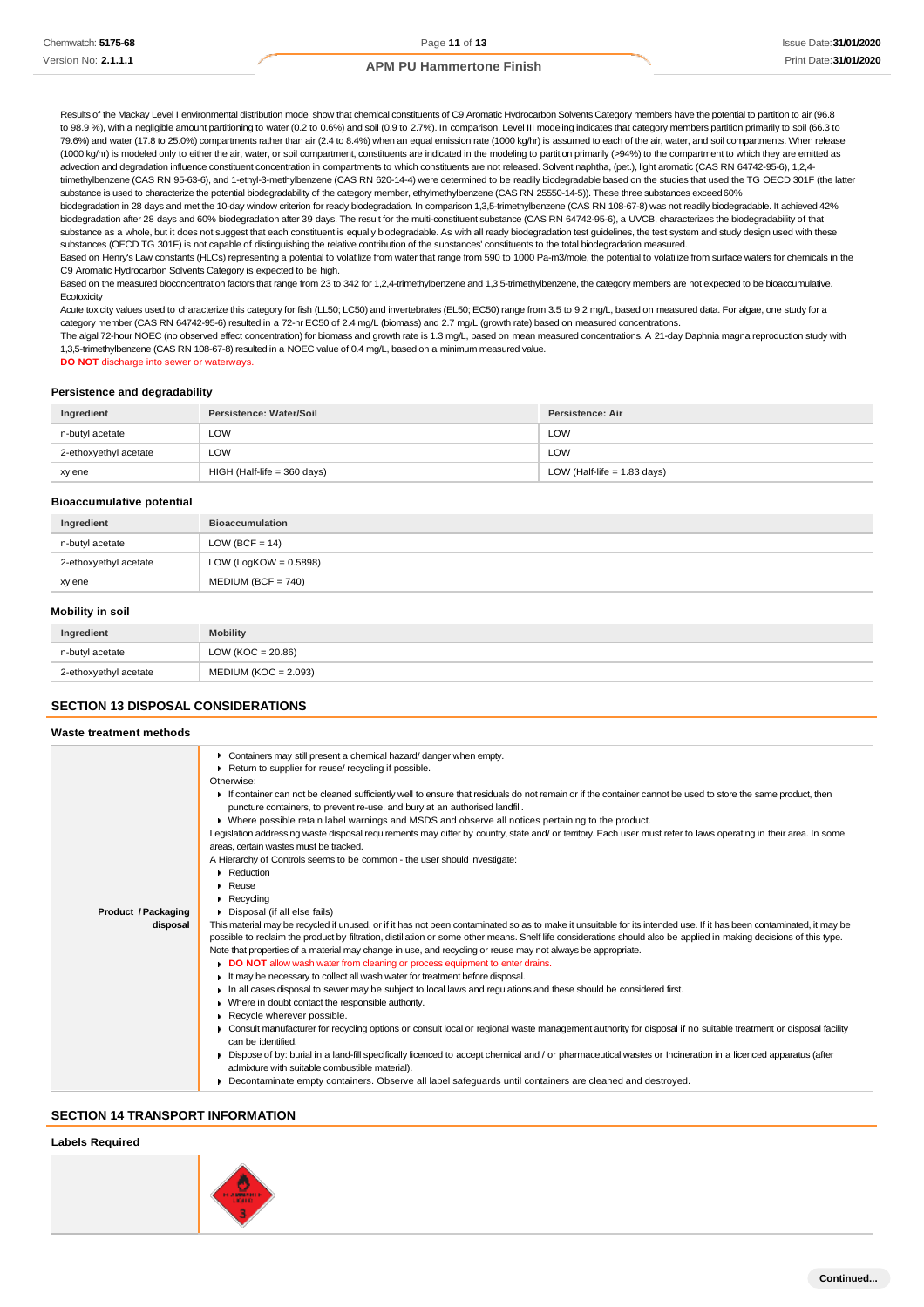Results of the Mackay Level I environmental distribution model show that chemical constituents of C9 Aromatic Hydrocarbon Solvents Category members have the potential to partition to air (96.8 to 98.9 %), with a negligible amount partitioning to water (0.2 to 0.6%) and soil (0.9 to 2.7%). In comparison, Level III modeling indicates that category members partition primarily to soil (66.3 to 79.6%) and water (17.8 to 25.0%) compartments rather than air (2.4 to 8.4%) when an equal emission rate (1000 kg/hr) is assumed to each of the air, water, and soil compartments. When release (1000 kg/hr) is modeled only to either the air, water, or soil compartment, constituents are indicated in the modeling to partition primarily (>94%) to the compartment to which they are emitted as advection and degradation influence constituent concentration in compartments to which constituents are not released. Solvent naphtha, (pet.), light aromatic (CAS RN 64742-95-6), 1,2,4-

trimethylbenzene (CAS RN 95-63-6), and 1-ethyl-3-methylbenzene (CAS RN 620-14-4) were determined to be readily biodegradable based on the studies that used the TG OECD 301F (the latter substance is used to characterize the potential biodegradability of the category member, ethylmethylbenzene (CAS RN 25550-14-5)). These three substances exceed60%

biodegradation in 28 days and met the 10-day window criterion for ready biodegradation. In comparison 1,3,5-trimethylbenzene (CAS RN 108-67-8) was not readily biodegradable. It achieved 42% biodegradation after 28 days and 60% biodegradation after 39 days. The result for the multi-constituent substance (CAS RN 64742-95-6), a UVCB, characterizes the biodegradability of that substance as a whole, but it does not suggest that each constituent is equally biodegradable. As with all ready biodegradation test guidelines, the test system and study design used with these substances (OECD TG 301F) is not capable of distinguishing the relative contribution of the substances' constituents to the total biodegradation measured.

Based on Henry's Law constants (HLCs) representing a potential to volatilize from water that range from 590 to 1000 Pa-m3/mole, the potential to volatilize from surface waters for chemicals in the C9 Aromatic Hydrocarbon Solvents Category is expected to be high.

Based on the measured bioconcentration factors that range from 23 to 342 for 1,2,4-trimethylbenzene and 1,3,5-trimethylbenzene, the category members are not expected to be bioaccumulative. **Ecotoxicity** 

Acute toxicity values used to characterize this category for fish (LL50; LC50) and invertebrates (EL50; EC50) range from 3.5 to 9.2 mg/L, based on measured data. For algae, one study for a category member (CAS RN 64742-95-6) resulted in a 72-hr EC50 of 2.4 mg/L (biomass) and 2.7 mg/L (growth rate) based on measured concentrations.

The algal 72-hour NOEC (no observed effect concentration) for biomass and growth rate is 1.3 mg/L, based on mean measured concentrations. A 21-day Daphnia magna reproduction study with 1,3,5-trimethylbenzene (CAS RN 108-67-8) resulted in a NOEC value of 0.4 mg/L, based on a minimum measured value.

**DO NOT** discharge into sewer or waterways.

#### **Persistence and degradability**

| Ingredient            | Persistence: Water/Soil       | Persistence: Air              |
|-----------------------|-------------------------------|-------------------------------|
| n-butyl acetate       | LOW                           | LOW                           |
| 2-ethoxyethyl acetate | LOW                           | LOW                           |
| xylene                | $HIGH$ (Half-life = 360 days) | LOW (Half-life $= 1.83$ days) |

#### **Bioaccumulative potential**

| Ingredient            | <b>Bioaccumulation</b>   |
|-----------------------|--------------------------|
| n-butyl acetate       | LOW (BCF = $14$ )        |
| 2-ethoxyethyl acetate | LOW (LogKOW = $0.5898$ ) |
| xylene                | $MEDIUM (BCF = 740)$     |

#### **Mobility in soil**

| Ingredient            | <b>Mobility</b>        |
|-----------------------|------------------------|
| n-butyl acetate       | LOW (KOC = $20.86$ )   |
| 2-ethoxyethyl acetate | $MEDIUM (KOC = 2.093)$ |

# **SECTION 13 DISPOSAL CONSIDERATIONS**

| Waste treatment methods                |                                                                                                                                                                                                                                                                                                                                                                                                                                                                                                                                                                                                                                                                                                                                                                                                                                                                                                                                                                                                                                                                                                                                                                                                                                                                                                                                                                                                                                                                                                                                                                                                                                                                                                                                                                                                                                                                                                                                                                                                                                                                                                                                                                                                                                                                           |
|----------------------------------------|---------------------------------------------------------------------------------------------------------------------------------------------------------------------------------------------------------------------------------------------------------------------------------------------------------------------------------------------------------------------------------------------------------------------------------------------------------------------------------------------------------------------------------------------------------------------------------------------------------------------------------------------------------------------------------------------------------------------------------------------------------------------------------------------------------------------------------------------------------------------------------------------------------------------------------------------------------------------------------------------------------------------------------------------------------------------------------------------------------------------------------------------------------------------------------------------------------------------------------------------------------------------------------------------------------------------------------------------------------------------------------------------------------------------------------------------------------------------------------------------------------------------------------------------------------------------------------------------------------------------------------------------------------------------------------------------------------------------------------------------------------------------------------------------------------------------------------------------------------------------------------------------------------------------------------------------------------------------------------------------------------------------------------------------------------------------------------------------------------------------------------------------------------------------------------------------------------------------------------------------------------------------------|
| <b>Product / Packaging</b><br>disposal | Containers may still present a chemical hazard/ danger when empty.<br>Return to supplier for reuse/ recycling if possible.<br>Otherwise:<br>If container can not be cleaned sufficiently well to ensure that residuals do not remain or if the container cannot be used to store the same product, then<br>puncture containers, to prevent re-use, and bury at an authorised landfill.<br>▶ Where possible retain label warnings and MSDS and observe all notices pertaining to the product.<br>Legislation addressing waste disposal requirements may differ by country, state and/ or territory. Each user must refer to laws operating in their area. In some<br>areas, certain wastes must be tracked.<br>A Hierarchy of Controls seems to be common - the user should investigate:<br>• Reduction<br>$\blacktriangleright$ Reuse<br>$\blacktriangleright$ Recycling<br>Disposal (if all else fails)<br>This material may be recycled if unused, or if it has not been contaminated so as to make it unsuitable for its intended use. If it has been contaminated, it may be<br>possible to reclaim the product by filtration, distillation or some other means. Shelf life considerations should also be applied in making decisions of this type.<br>Note that properties of a material may change in use, and recycling or reuse may not always be appropriate.<br>DO NOT allow wash water from cleaning or process equipment to enter drains.<br>It may be necessary to collect all wash water for treatment before disposal.<br>In all cases disposal to sewer may be subject to local laws and regulations and these should be considered first.<br>• Where in doubt contact the responsible authority.<br>Recycle wherever possible.<br>• Consult manufacturer for recycling options or consult local or regional waste management authority for disposal if no suitable treatment or disposal facility<br>can be identified.<br>▶ Dispose of by: burial in a land-fill specifically licenced to accept chemical and / or pharmaceutical wastes or Incineration in a licenced apparatus (after<br>admixture with suitable combustible material).<br>• Decontaminate empty containers. Observe all label safeguards until containers are cleaned and destroyed. |
|                                        |                                                                                                                                                                                                                                                                                                                                                                                                                                                                                                                                                                                                                                                                                                                                                                                                                                                                                                                                                                                                                                                                                                                                                                                                                                                                                                                                                                                                                                                                                                                                                                                                                                                                                                                                                                                                                                                                                                                                                                                                                                                                                                                                                                                                                                                                           |

# **SECTION 14 TRANSPORT INFORMATION**

# **Labels Required**

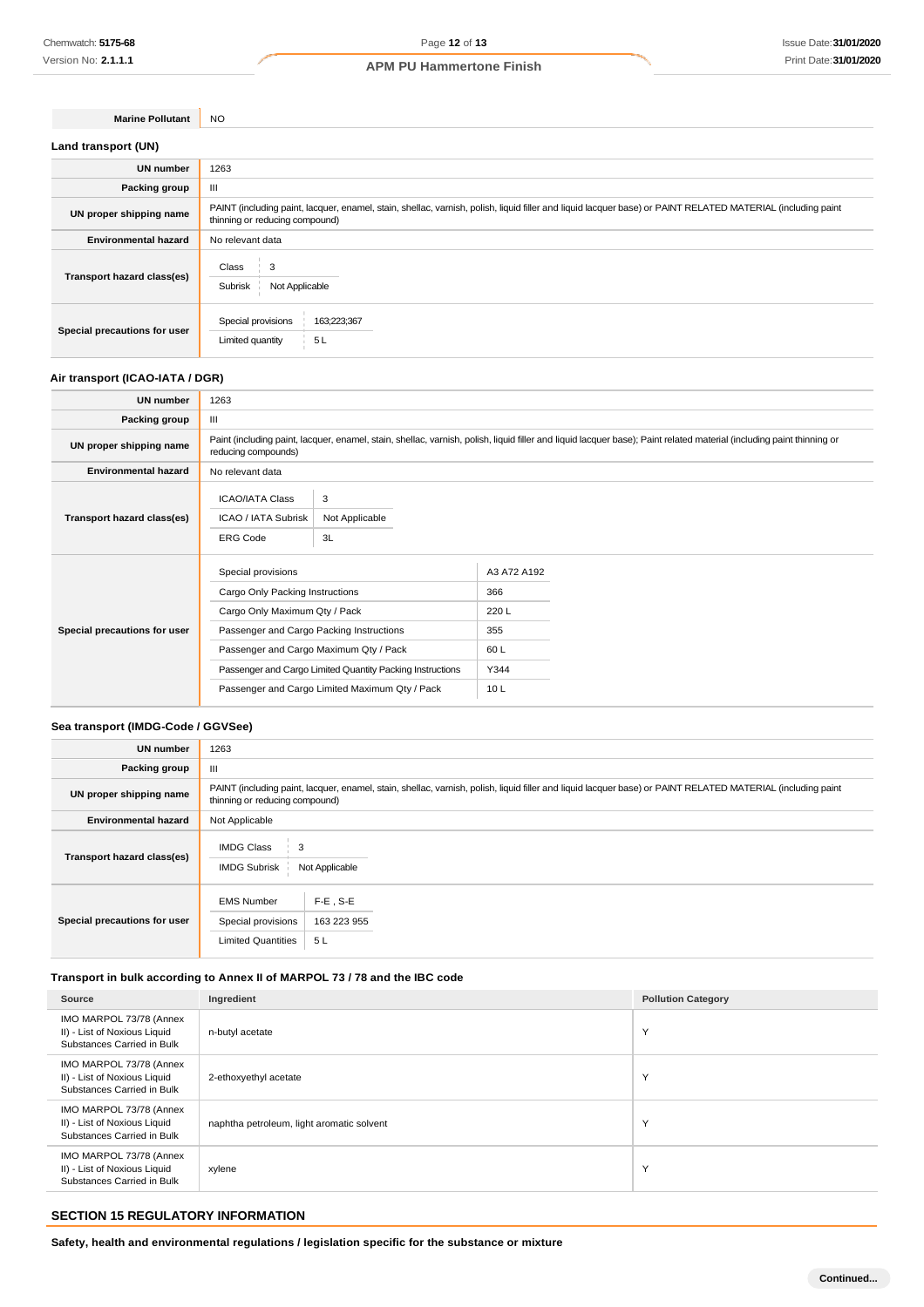**Marine Pollutant** NO

| Land transport (UN)          |                                                                                                                                                                                               |
|------------------------------|-----------------------------------------------------------------------------------------------------------------------------------------------------------------------------------------------|
| <b>UN number</b>             | 1263                                                                                                                                                                                          |
| Packing group                | Ш                                                                                                                                                                                             |
| UN proper shipping name      | PAINT (including paint, lacquer, enamel, stain, shellac, varnish, polish, liquid filler and liquid lacquer base) or PAINT RELATED MATERIAL (including paint<br>thinning or reducing compound) |
| <b>Environmental hazard</b>  | No relevant data                                                                                                                                                                              |
| Transport hazard class(es)   | Class<br>$\frac{1}{2}$ 3<br>Subrisk<br>Not Applicable                                                                                                                                         |
| Special precautions for user | Special provisions<br>163;223;367<br>5L<br>Limited quantity                                                                                                                                   |

### **Air transport (ICAO-IATA / DGR)**

| <b>UN number</b>             | 1263                                                                                                                                                                                         |                                                                                                             |                                                         |  |
|------------------------------|----------------------------------------------------------------------------------------------------------------------------------------------------------------------------------------------|-------------------------------------------------------------------------------------------------------------|---------------------------------------------------------|--|
| Packing group                | Ш                                                                                                                                                                                            |                                                                                                             |                                                         |  |
| UN proper shipping name      | Paint (including paint, lacquer, enamel, stain, shellac, varnish, polish, liquid filler and liquid lacquer base); Paint related material (including paint thinning or<br>reducing compounds) |                                                                                                             |                                                         |  |
| <b>Environmental hazard</b>  | No relevant data                                                                                                                                                                             |                                                                                                             |                                                         |  |
| Transport hazard class(es)   | <b>ICAO/IATA Class</b><br>ICAO / IATA Subrisk<br><b>ERG Code</b>                                                                                                                             | 3<br>Not Applicable<br>3L                                                                                   |                                                         |  |
| Special precautions for user | Special provisions<br>Cargo Only Packing Instructions<br>Cargo Only Maximum Qty / Pack<br>Passenger and Cargo Packing Instructions<br>Passenger and Cargo Maximum Qty / Pack                 | Passenger and Cargo Limited Quantity Packing Instructions<br>Passenger and Cargo Limited Maximum Qty / Pack | A3 A72 A192<br>366<br>220L<br>355<br>60L<br>Y344<br>10L |  |

# **Sea transport (IMDG-Code / GGVSee)**

| <b>UN number</b>             | 1263                                                                                                                                                                                          |  |  |
|------------------------------|-----------------------------------------------------------------------------------------------------------------------------------------------------------------------------------------------|--|--|
| Packing group                | Ш                                                                                                                                                                                             |  |  |
| UN proper shipping name      | PAINT (including paint, lacquer, enamel, stain, shellac, varnish, polish, liquid filler and liquid lacquer base) or PAINT RELATED MATERIAL (including paint<br>thinning or reducing compound) |  |  |
| <b>Environmental hazard</b>  | Not Applicable                                                                                                                                                                                |  |  |
| Transport hazard class(es)   | <b>IMDG Class</b><br><b>IMDG Subrisk</b><br>Not Applicable                                                                                                                                    |  |  |
| Special precautions for user | $F-E$ , S-E<br><b>EMS Number</b><br>Special provisions<br>163 223 955<br><b>Limited Quantities</b><br>5 L                                                                                     |  |  |

# **Transport in bulk according to Annex II of MARPOL 73 / 78 and the IBC code**

| Source                                                                                | Ingredient                                | <b>Pollution Category</b> |
|---------------------------------------------------------------------------------------|-------------------------------------------|---------------------------|
| IMO MARPOL 73/78 (Annex<br>II) - List of Noxious Liquid<br>Substances Carried in Bulk | n-butyl acetate                           | Υ                         |
| IMO MARPOL 73/78 (Annex<br>II) - List of Noxious Liquid<br>Substances Carried in Bulk | 2-ethoxyethyl acetate                     | $\checkmark$              |
| IMO MARPOL 73/78 (Annex<br>II) - List of Noxious Liquid<br>Substances Carried in Bulk | naphtha petroleum, light aromatic solvent | $\check{}$                |
| IMO MARPOL 73/78 (Annex<br>II) - List of Noxious Liquid<br>Substances Carried in Bulk | xylene                                    | Y                         |

# **SECTION 15 REGULATORY INFORMATION**